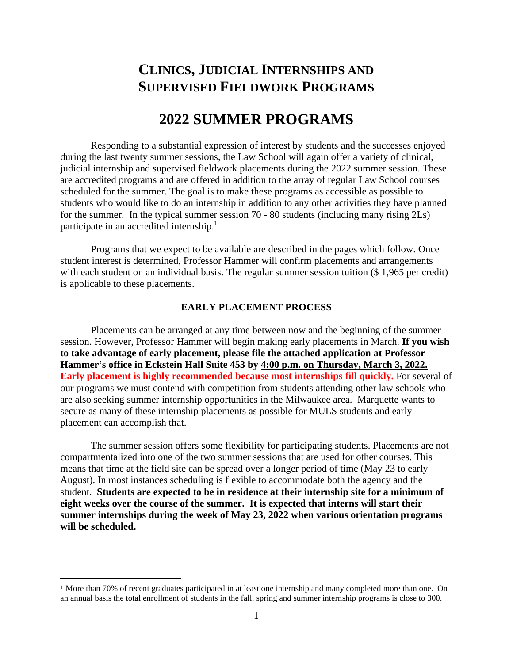# **CLINICS, JUDICIAL INTERNSHIPS AND SUPERVISED FIELDWORK PROGRAMS**

## **2022 SUMMER PROGRAMS**

Responding to a substantial expression of interest by students and the successes enjoyed during the last twenty summer sessions, the Law School will again offer a variety of clinical, judicial internship and supervised fieldwork placements during the 2022 summer session. These are accredited programs and are offered in addition to the array of regular Law School courses scheduled for the summer. The goal is to make these programs as accessible as possible to students who would like to do an internship in addition to any other activities they have planned for the summer. In the typical summer session 70 - 80 students (including many rising 2Ls) participate in an accredited internship.<sup>1</sup>

Programs that we expect to be available are described in the pages which follow. Once student interest is determined, Professor Hammer will confirm placements and arrangements with each student on an individual basis. The regular summer session tuition (\$1,965 per credit) is applicable to these placements.

#### **EARLY PLACEMENT PROCESS**

Placements can be arranged at any time between now and the beginning of the summer session. However, Professor Hammer will begin making early placements in March. **If you wish to take advantage of early placement, please file the attached application at Professor Hammer's office in Eckstein Hall Suite 453 by 4:00 p.m. on Thursday, March 3, 2022. Early placement is highly recommended because most internships fill quickly.** For several of our programs we must contend with competition from students attending other law schools who are also seeking summer internship opportunities in the Milwaukee area. Marquette wants to secure as many of these internship placements as possible for MULS students and early placement can accomplish that.

The summer session offers some flexibility for participating students. Placements are not compartmentalized into one of the two summer sessions that are used for other courses. This means that time at the field site can be spread over a longer period of time (May 23 to early August). In most instances scheduling is flexible to accommodate both the agency and the student. **Students are expected to be in residence at their internship site for a minimum of eight weeks over the course of the summer. It is expected that interns will start their summer internships during the week of May 23, 2022 when various orientation programs will be scheduled.**

<sup>1</sup> More than 70% of recent graduates participated in at least one internship and many completed more than one. On an annual basis the total enrollment of students in the fall, spring and summer internship programs is close to 300.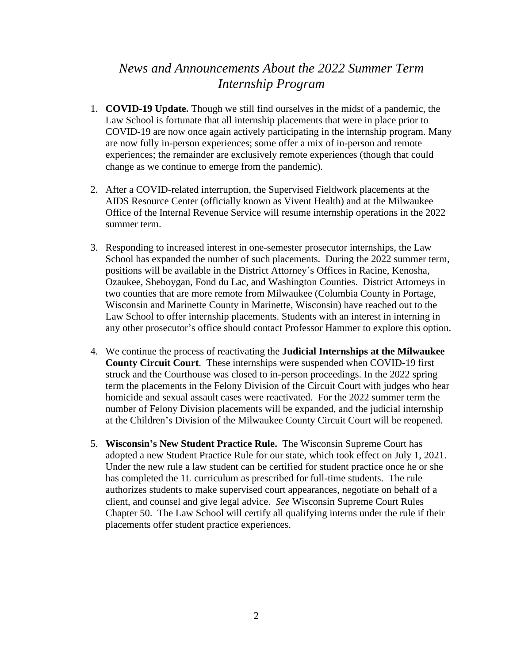## *News and Announcements About the 2022 Summer Term Internship Program*

- 1. **COVID-19 Update.** Though we still find ourselves in the midst of a pandemic, the Law School is fortunate that all internship placements that were in place prior to COVID-19 are now once again actively participating in the internship program. Many are now fully in-person experiences; some offer a mix of in-person and remote experiences; the remainder are exclusively remote experiences (though that could change as we continue to emerge from the pandemic).
- 2. After a COVID-related interruption, the Supervised Fieldwork placements at the AIDS Resource Center (officially known as Vivent Health) and at the Milwaukee Office of the Internal Revenue Service will resume internship operations in the 2022 summer term.
- 3. Responding to increased interest in one-semester prosecutor internships, the Law School has expanded the number of such placements. During the 2022 summer term, positions will be available in the District Attorney's Offices in Racine, Kenosha, Ozaukee, Sheboygan, Fond du Lac, and Washington Counties. District Attorneys in two counties that are more remote from Milwaukee (Columbia County in Portage, Wisconsin and Marinette County in Marinette, Wisconsin) have reached out to the Law School to offer internship placements. Students with an interest in interning in any other prosecutor's office should contact Professor Hammer to explore this option.
- 4. We continue the process of reactivating the **Judicial Internships at the Milwaukee County Circuit Court**. These internships were suspended when COVID-19 first struck and the Courthouse was closed to in-person proceedings. In the 2022 spring term the placements in the Felony Division of the Circuit Court with judges who hear homicide and sexual assault cases were reactivated. For the 2022 summer term the number of Felony Division placements will be expanded, and the judicial internship at the Children's Division of the Milwaukee County Circuit Court will be reopened.
- 5. **Wisconsin's New Student Practice Rule.** The Wisconsin Supreme Court has adopted a new Student Practice Rule for our state, which took effect on July 1, 2021. Under the new rule a law student can be certified for student practice once he or she has completed the 1L curriculum as prescribed for full-time students. The rule authorizes students to make supervised court appearances, negotiate on behalf of a client, and counsel and give legal advice. *See* Wisconsin Supreme Court Rules Chapter 50. The Law School will certify all qualifying interns under the rule if their placements offer student practice experiences.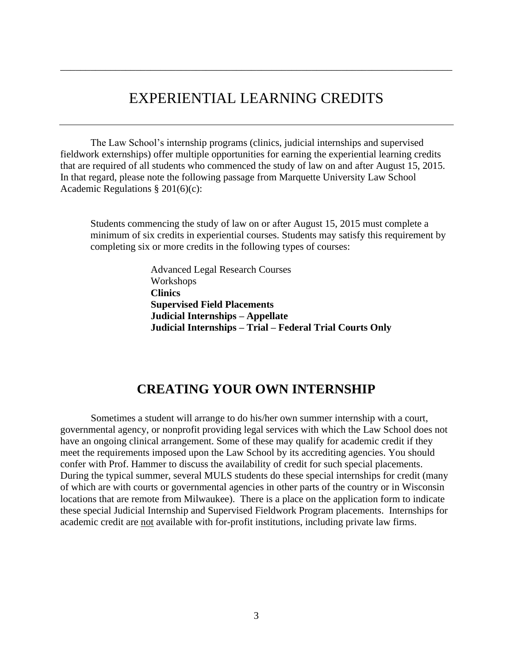# EXPERIENTIAL LEARNING CREDITS

\_\_\_\_\_\_\_\_\_\_\_\_\_\_\_\_\_\_\_\_\_\_\_\_\_\_\_\_\_\_\_\_\_\_\_\_\_\_\_\_\_\_\_\_\_\_\_\_\_\_\_\_\_\_\_\_\_\_\_\_\_\_\_\_\_\_\_\_\_\_\_\_\_\_\_\_\_\_

The Law School's internship programs (clinics, judicial internships and supervised fieldwork externships) offer multiple opportunities for earning the experiential learning credits that are required of all students who commenced the study of law on and after August 15, 2015. In that regard, please note the following passage from Marquette University Law School Academic Regulations § 201(6)(c):

Students commencing the study of law on or after August 15, 2015 must complete a minimum of six credits in experiential courses. Students may satisfy this requirement by completing six or more credits in the following types of courses:

> Advanced Legal Research Courses Workshops **Clinics Supervised Field Placements Judicial Internships – Appellate Judicial Internships – Trial – Federal Trial Courts Only**

## **CREATING YOUR OWN INTERNSHIP**

Sometimes a student will arrange to do his/her own summer internship with a court, governmental agency, or nonprofit providing legal services with which the Law School does not have an ongoing clinical arrangement. Some of these may qualify for academic credit if they meet the requirements imposed upon the Law School by its accrediting agencies. You should confer with Prof. Hammer to discuss the availability of credit for such special placements. During the typical summer, several MULS students do these special internships for credit (many of which are with courts or governmental agencies in other parts of the country or in Wisconsin locations that are remote from Milwaukee). There is a place on the application form to indicate these special Judicial Internship and Supervised Fieldwork Program placements. Internships for academic credit are not available with for-profit institutions, including private law firms.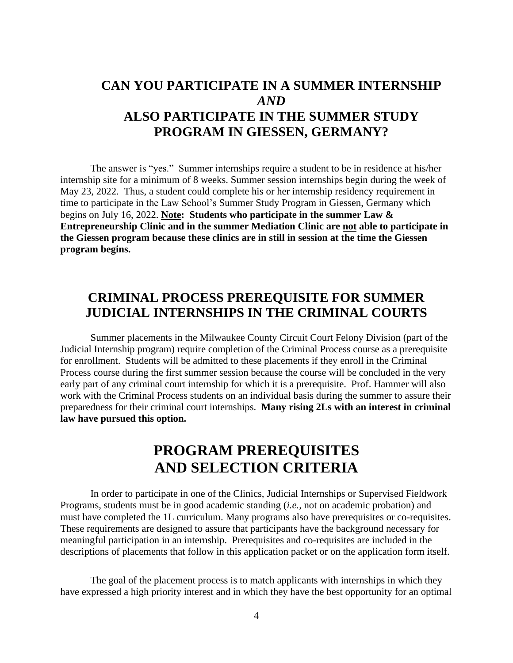# **CAN YOU PARTICIPATE IN A SUMMER INTERNSHIP**  *AND* **ALSO PARTICIPATE IN THE SUMMER STUDY PROGRAM IN GIESSEN, GERMANY?**

The answer is "yes." Summer internships require a student to be in residence at his/her internship site for a minimum of 8 weeks. Summer session internships begin during the week of May 23, 2022. Thus, a student could complete his or her internship residency requirement in time to participate in the Law School's Summer Study Program in Giessen, Germany which begins on July 16, 2022. **Note: Students who participate in the summer Law & Entrepreneurship Clinic and in the summer Mediation Clinic are not able to participate in the Giessen program because these clinics are in still in session at the time the Giessen program begins.**

## **CRIMINAL PROCESS PREREQUISITE FOR SUMMER JUDICIAL INTERNSHIPS IN THE CRIMINAL COURTS**

Summer placements in the Milwaukee County Circuit Court Felony Division (part of the Judicial Internship program) require completion of the Criminal Process course as a prerequisite for enrollment. Students will be admitted to these placements if they enroll in the Criminal Process course during the first summer session because the course will be concluded in the very early part of any criminal court internship for which it is a prerequisite. Prof. Hammer will also work with the Criminal Process students on an individual basis during the summer to assure their preparedness for their criminal court internships. **Many rising 2Ls with an interest in criminal law have pursued this option.**

# **PROGRAM PREREQUISITES AND SELECTION CRITERIA**

In order to participate in one of the Clinics, Judicial Internships or Supervised Fieldwork Programs, students must be in good academic standing (*i.e.,* not on academic probation) and must have completed the 1L curriculum. Many programs also have prerequisites or co-requisites. These requirements are designed to assure that participants have the background necessary for meaningful participation in an internship. Prerequisites and co-requisites are included in the descriptions of placements that follow in this application packet or on the application form itself.

The goal of the placement process is to match applicants with internships in which they have expressed a high priority interest and in which they have the best opportunity for an optimal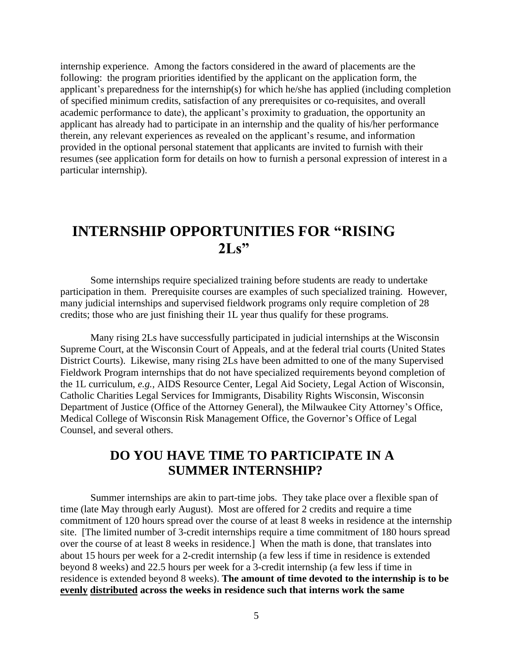internship experience. Among the factors considered in the award of placements are the following: the program priorities identified by the applicant on the application form, the applicant's preparedness for the internship(s) for which he/she has applied (including completion of specified minimum credits, satisfaction of any prerequisites or co-requisites, and overall academic performance to date), the applicant's proximity to graduation, the opportunity an applicant has already had to participate in an internship and the quality of his/her performance therein, any relevant experiences as revealed on the applicant's resume, and information provided in the optional personal statement that applicants are invited to furnish with their resumes (see application form for details on how to furnish a personal expression of interest in a particular internship).

# **INTERNSHIP OPPORTUNITIES FOR "RISING 2Ls"**

Some internships require specialized training before students are ready to undertake participation in them. Prerequisite courses are examples of such specialized training. However, many judicial internships and supervised fieldwork programs only require completion of 28 credits; those who are just finishing their 1L year thus qualify for these programs.

Many rising 2Ls have successfully participated in judicial internships at the Wisconsin Supreme Court, at the Wisconsin Court of Appeals, and at the federal trial courts (United States District Courts). Likewise, many rising 2Ls have been admitted to one of the many Supervised Fieldwork Program internships that do not have specialized requirements beyond completion of the 1L curriculum, *e.g.,* AIDS Resource Center, Legal Aid Society, Legal Action of Wisconsin, Catholic Charities Legal Services for Immigrants, Disability Rights Wisconsin, Wisconsin Department of Justice (Office of the Attorney General), the Milwaukee City Attorney's Office, Medical College of Wisconsin Risk Management Office, the Governor's Office of Legal Counsel, and several others.

## **DO YOU HAVE TIME TO PARTICIPATE IN A SUMMER INTERNSHIP?**

Summer internships are akin to part-time jobs. They take place over a flexible span of time (late May through early August). Most are offered for 2 credits and require a time commitment of 120 hours spread over the course of at least 8 weeks in residence at the internship site. [The limited number of 3-credit internships require a time commitment of 180 hours spread over the course of at least 8 weeks in residence.] When the math is done, that translates into about 15 hours per week for a 2-credit internship (a few less if time in residence is extended beyond 8 weeks) and 22.5 hours per week for a 3-credit internship (a few less if time in residence is extended beyond 8 weeks). **The amount of time devoted to the internship is to be evenly distributed across the weeks in residence such that interns work the same**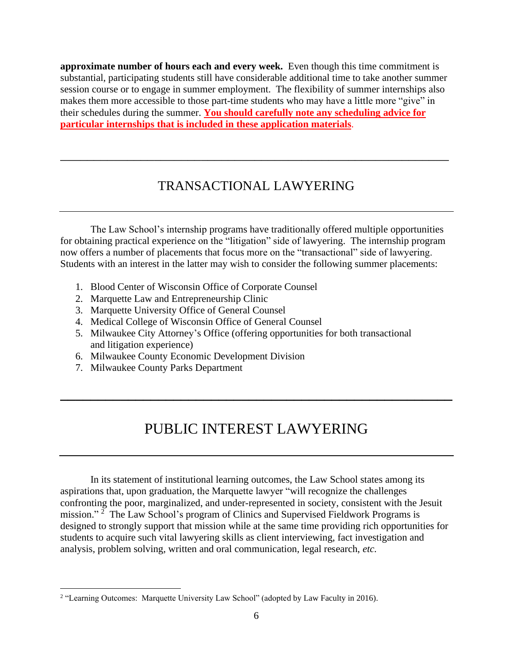**approximate number of hours each and every week.** Even though this time commitment is substantial, participating students still have considerable additional time to take another summer session course or to engage in summer employment. The flexibility of summer internships also makes them more accessible to those part-time students who may have a little more "give" in their schedules during the summer. **You should carefully note any scheduling advice for particular internships that is included in these application materials**.

## TRANSACTIONAL LAWYERING

\_\_\_\_\_\_\_\_\_\_\_\_\_\_\_\_\_\_\_\_\_\_\_\_\_\_\_\_\_\_\_\_\_\_\_\_\_\_\_\_\_\_\_\_\_\_\_\_\_\_\_\_\_\_\_\_\_\_

The Law School's internship programs have traditionally offered multiple opportunities for obtaining practical experience on the "litigation" side of lawyering. The internship program now offers a number of placements that focus more on the "transactional" side of lawyering. Students with an interest in the latter may wish to consider the following summer placements:

- 1. Blood Center of Wisconsin Office of Corporate Counsel
- 2. Marquette Law and Entrepreneurship Clinic
- 3. Marquette University Office of General Counsel
- 4. Medical College of Wisconsin Office of General Counsel
- 5. Milwaukee City Attorney's Office (offering opportunities for both transactional and litigation experience)
- 6. Milwaukee County Economic Development Division
- 7. Milwaukee County Parks Department

# PUBLIC INTEREST LAWYERING

**\_\_\_\_\_\_\_\_\_\_\_\_\_\_\_\_\_\_\_\_\_\_\_\_\_\_\_\_\_\_\_\_\_\_\_\_\_\_\_\_\_\_\_\_\_\_\_\_\_\_\_\_**

In its statement of institutional learning outcomes, the Law School states among its aspirations that, upon graduation, the Marquette lawyer "will recognize the challenges confronting the poor, marginalized, and under-represented in society, consistent with the Jesuit mission."<sup>2</sup> The Law School's program of Clinics and Supervised Fieldwork Programs is designed to strongly support that mission while at the same time providing rich opportunities for students to acquire such vital lawyering skills as client interviewing, fact investigation and analysis, problem solving, written and oral communication, legal research, *etc.*

<sup>&</sup>lt;sup>2</sup> "Learning Outcomes: Marquette University Law School" (adopted by Law Faculty in 2016).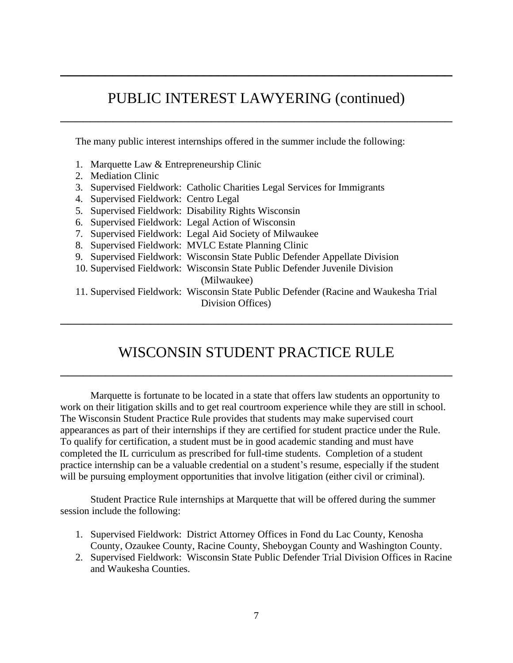# PUBLIC INTEREST LAWYERING (continued)

\_\_\_\_\_\_\_\_\_\_\_\_\_\_\_\_\_\_\_\_\_\_\_\_\_\_\_\_\_\_\_\_\_\_\_\_\_\_\_\_\_\_\_\_\_\_\_\_\_\_\_\_

**\_\_\_\_\_\_\_\_\_\_\_\_\_\_\_\_\_\_\_\_\_\_\_\_\_\_\_\_\_\_\_\_\_\_\_\_\_\_\_\_\_\_\_\_\_\_\_\_\_\_\_\_**

The many public interest internships offered in the summer include the following:

- 1. Marquette Law & Entrepreneurship Clinic
- 2. Mediation Clinic
- 3. Supervised Fieldwork: Catholic Charities Legal Services for Immigrants
- 4. Supervised Fieldwork: Centro Legal
- 5. Supervised Fieldwork: Disability Rights Wisconsin
- 6. Supervised Fieldwork: Legal Action of Wisconsin
- 7. Supervised Fieldwork: Legal Aid Society of Milwaukee
- 8. Supervised Fieldwork: MVLC Estate Planning Clinic
- 9. Supervised Fieldwork: Wisconsin State Public Defender Appellate Division
- 10. Supervised Fieldwork: Wisconsin State Public Defender Juvenile Division (Milwaukee)
- 11. Supervised Fieldwork: Wisconsin State Public Defender (Racine and Waukesha Trial Division Offices)

\_\_\_\_\_\_\_\_\_\_\_\_\_\_\_\_\_\_\_\_\_\_\_\_\_\_\_\_\_\_\_\_\_\_\_\_\_\_\_\_\_\_\_\_\_\_\_\_\_\_\_\_

# WISCONSIN STUDENT PRACTICE RULE

\_\_\_\_\_\_\_\_\_\_\_\_\_\_\_\_\_\_\_\_\_\_\_\_\_\_\_\_\_\_\_\_\_\_\_\_\_\_\_\_\_\_\_\_\_\_\_\_\_\_\_\_

Marquette is fortunate to be located in a state that offers law students an opportunity to work on their litigation skills and to get real courtroom experience while they are still in school. The Wisconsin Student Practice Rule provides that students may make supervised court appearances as part of their internships if they are certified for student practice under the Rule. To qualify for certification, a student must be in good academic standing and must have completed the IL curriculum as prescribed for full-time students. Completion of a student practice internship can be a valuable credential on a student's resume, especially if the student will be pursuing employment opportunities that involve litigation (either civil or criminal).

Student Practice Rule internships at Marquette that will be offered during the summer session include the following:

- 1. Supervised Fieldwork: District Attorney Offices in Fond du Lac County, Kenosha County, Ozaukee County, Racine County, Sheboygan County and Washington County.
- 2. Supervised Fieldwork: Wisconsin State Public Defender Trial Division Offices in Racine and Waukesha Counties.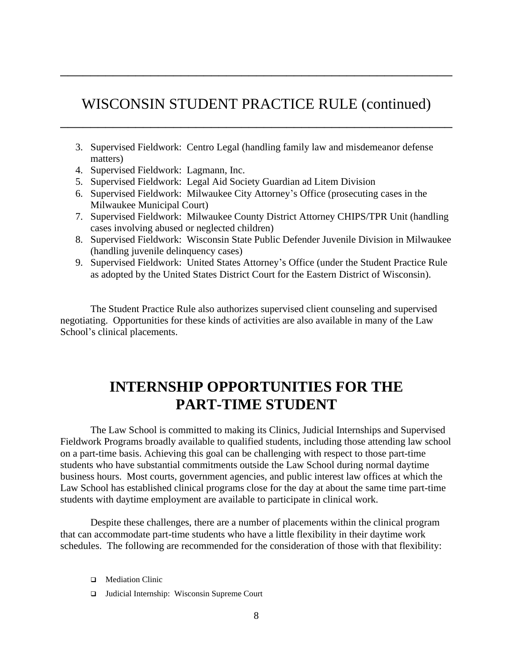## WISCONSIN STUDENT PRACTICE RULE (continued)

\_\_\_\_\_\_\_\_\_\_\_\_\_\_\_\_\_\_\_\_\_\_\_\_\_\_\_\_\_\_\_\_\_\_\_\_\_\_\_\_\_\_\_\_\_\_\_\_\_\_\_\_

\_\_\_\_\_\_\_\_\_\_\_\_\_\_\_\_\_\_\_\_\_\_\_\_\_\_\_\_\_\_\_\_\_\_\_\_\_\_\_\_\_\_\_\_\_\_\_\_\_\_\_\_

- 3. Supervised Fieldwork: Centro Legal (handling family law and misdemeanor defense matters)
- 4. Supervised Fieldwork: Lagmann, Inc.
- 5. Supervised Fieldwork: Legal Aid Society Guardian ad Litem Division
- 6. Supervised Fieldwork: Milwaukee City Attorney's Office (prosecuting cases in the Milwaukee Municipal Court)
- 7. Supervised Fieldwork: Milwaukee County District Attorney CHIPS/TPR Unit (handling cases involving abused or neglected children)
- 8. Supervised Fieldwork: Wisconsin State Public Defender Juvenile Division in Milwaukee (handling juvenile delinquency cases)
- 9. Supervised Fieldwork: United States Attorney's Office (under the Student Practice Rule as adopted by the United States District Court for the Eastern District of Wisconsin).

The Student Practice Rule also authorizes supervised client counseling and supervised negotiating. Opportunities for these kinds of activities are also available in many of the Law School's clinical placements.

# **INTERNSHIP OPPORTUNITIES FOR THE PART-TIME STUDENT**

The Law School is committed to making its Clinics, Judicial Internships and Supervised Fieldwork Programs broadly available to qualified students, including those attending law school on a part-time basis. Achieving this goal can be challenging with respect to those part-time students who have substantial commitments outside the Law School during normal daytime business hours. Most courts, government agencies, and public interest law offices at which the Law School has established clinical programs close for the day at about the same time part-time students with daytime employment are available to participate in clinical work.

Despite these challenges, there are a number of placements within the clinical program that can accommodate part-time students who have a little flexibility in their daytime work schedules. The following are recommended for the consideration of those with that flexibility:

- ❑ Mediation Clinic
- ❑ Judicial Internship: Wisconsin Supreme Court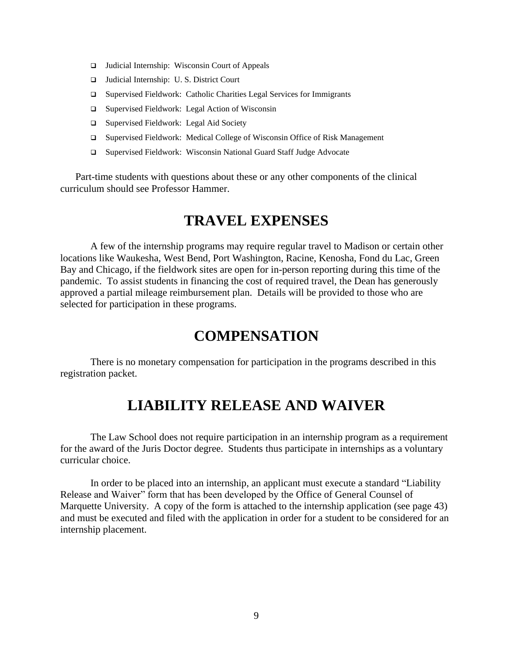- ❑ Judicial Internship: Wisconsin Court of Appeals
- ❑ Judicial Internship: U. S. District Court
- ❑ Supervised Fieldwork: Catholic Charities Legal Services for Immigrants
- ❑ Supervised Fieldwork: Legal Action of Wisconsin
- ❑ Supervised Fieldwork: Legal Aid Society
- ❑ Supervised Fieldwork: Medical College of Wisconsin Office of Risk Management
- ❑ Supervised Fieldwork: Wisconsin National Guard Staff Judge Advocate

Part-time students with questions about these or any other components of the clinical curriculum should see Professor Hammer.

# **TRAVEL EXPENSES**

A few of the internship programs may require regular travel to Madison or certain other locations like Waukesha, West Bend, Port Washington, Racine, Kenosha, Fond du Lac, Green Bay and Chicago, if the fieldwork sites are open for in-person reporting during this time of the pandemic. To assist students in financing the cost of required travel, the Dean has generously approved a partial mileage reimbursement plan. Details will be provided to those who are selected for participation in these programs.

## **COMPENSATION**

There is no monetary compensation for participation in the programs described in this registration packet.

# **LIABILITY RELEASE AND WAIVER**

The Law School does not require participation in an internship program as a requirement for the award of the Juris Doctor degree. Students thus participate in internships as a voluntary curricular choice.

In order to be placed into an internship, an applicant must execute a standard "Liability Release and Waiver" form that has been developed by the Office of General Counsel of Marquette University. A copy of the form is attached to the internship application (see page 43) and must be executed and filed with the application in order for a student to be considered for an internship placement.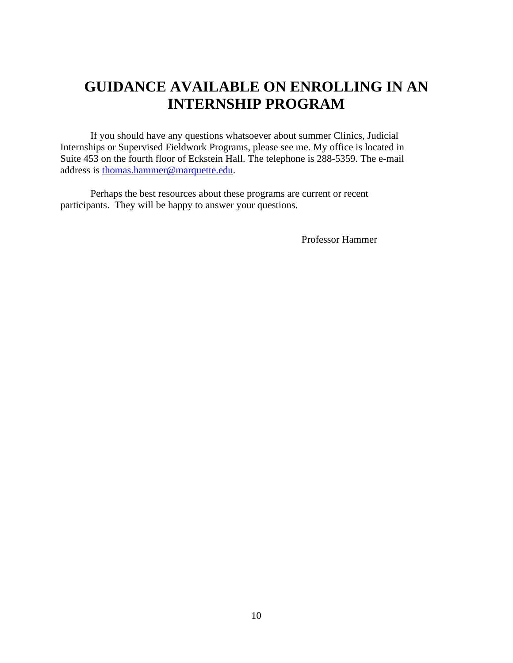# **GUIDANCE AVAILABLE ON ENROLLING IN AN INTERNSHIP PROGRAM**

If you should have any questions whatsoever about summer Clinics, Judicial Internships or Supervised Fieldwork Programs, please see me. My office is located in Suite 453 on the fourth floor of Eckstein Hall. The telephone is 288-5359. The e-mail address is [thomas.hammer@marquette.edu.](mailto:thomas.hammer@marquette.edu)

Perhaps the best resources about these programs are current or recent participants. They will be happy to answer your questions.

Professor Hammer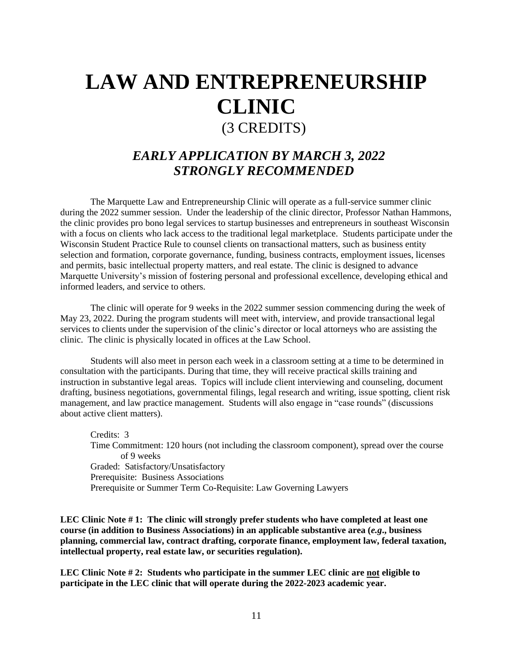# **LAW AND ENTREPRENEURSHIP CLINIC** (3 CREDITS)

## *EARLY APPLICATION BY MARCH 3, 2022 STRONGLY RECOMMENDED*

The Marquette Law and Entrepreneurship Clinic will operate as a full-service summer clinic during the 2022 summer session. Under the leadership of the clinic director, Professor Nathan Hammons, the clinic provides pro bono legal services to startup businesses and entrepreneurs in southeast Wisconsin with a focus on clients who lack access to the traditional legal marketplace. Students participate under the Wisconsin Student Practice Rule to counsel clients on transactional matters, such as business entity selection and formation, corporate governance, funding, business contracts, employment issues, licenses and permits, basic intellectual property matters, and real estate. The clinic is designed to advance Marquette University's mission of fostering personal and professional excellence, developing ethical and informed leaders, and service to others.

The clinic will operate for 9 weeks in the 2022 summer session commencing during the week of May 23, 2022. During the program students will meet with, interview, and provide transactional legal services to clients under the supervision of the clinic's director or local attorneys who are assisting the clinic. The clinic is physically located in offices at the Law School.

Students will also meet in person each week in a classroom setting at a time to be determined in consultation with the participants. During that time, they will receive practical skills training and instruction in substantive legal areas. Topics will include client interviewing and counseling, document drafting, business negotiations, governmental filings, legal research and writing, issue spotting, client risk management, and law practice management. Students will also engage in "case rounds" (discussions about active client matters).

Credits: 3 Time Commitment: 120 hours (not including the classroom component), spread over the course of 9 weeks Graded: Satisfactory/Unsatisfactory Prerequisite: Business Associations Prerequisite or Summer Term Co-Requisite: Law Governing Lawyers

**LEC Clinic Note # 1: The clinic will strongly prefer students who have completed at least one course (in addition to Business Associations) in an applicable substantive area (***e.g***., business planning, commercial law, contract drafting, corporate finance, employment law, federal taxation, intellectual property, real estate law, or securities regulation).**

**LEC Clinic Note # 2: Students who participate in the summer LEC clinic are not eligible to participate in the LEC clinic that will operate during the 2022-2023 academic year.**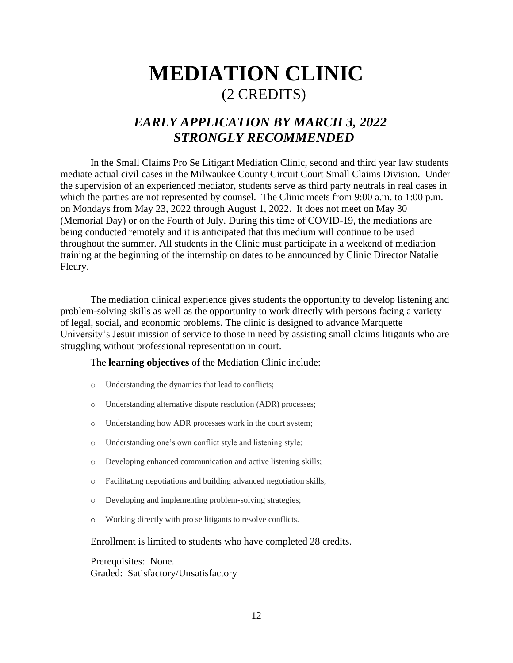# **MEDIATION CLINIC** (2 CREDITS)

## *EARLY APPLICATION BY MARCH 3, 2022 STRONGLY RECOMMENDED*

In the Small Claims Pro Se Litigant Mediation Clinic, second and third year law students mediate actual civil cases in the Milwaukee County Circuit Court Small Claims Division. Under the supervision of an experienced mediator, students serve as third party neutrals in real cases in which the parties are not represented by counsel. The Clinic meets from 9:00 a.m. to 1:00 p.m. on Mondays from May 23, 2022 through August 1, 2022. It does not meet on May 30 (Memorial Day) or on the Fourth of July. During this time of COVID-19, the mediations are being conducted remotely and it is anticipated that this medium will continue to be used throughout the summer. All students in the Clinic must participate in a weekend of mediation training at the beginning of the internship on dates to be announced by Clinic Director Natalie Fleury.

The mediation clinical experience gives students the opportunity to develop listening and problem-solving skills as well as the opportunity to work directly with persons facing a variety of legal, social, and economic problems. The clinic is designed to advance Marquette University's Jesuit mission of service to those in need by assisting small claims litigants who are struggling without professional representation in court.

#### The **learning objectives** of the Mediation Clinic include:

- o Understanding the dynamics that lead to conflicts;
- o Understanding alternative dispute resolution (ADR) processes;
- o Understanding how ADR processes work in the court system;
- o Understanding one's own conflict style and listening style;
- o Developing enhanced communication and active listening skills;
- o Facilitating negotiations and building advanced negotiation skills;
- o Developing and implementing problem-solving strategies;
- o Working directly with pro se litigants to resolve conflicts.

#### Enrollment is limited to students who have completed 28 credits.

Prerequisites: None. Graded: Satisfactory/Unsatisfactory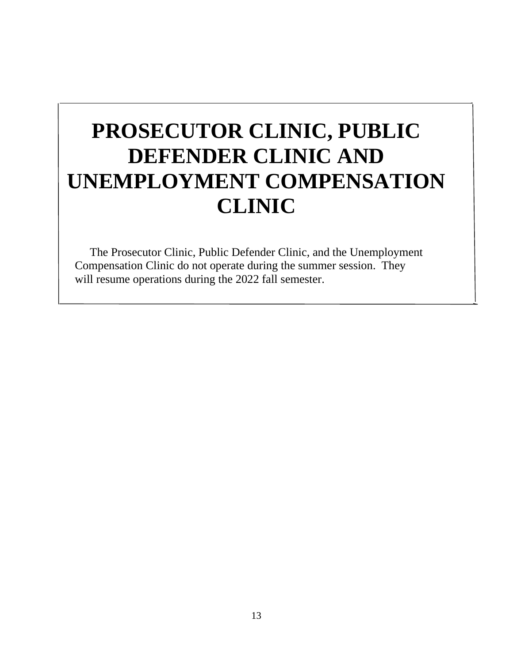# **PROSECUTOR CLINIC, PUBLIC DEFENDER CLINIC AND UNEMPLOYMENT COMPENSATION CLINIC**

The Prosecutor Clinic, Public Defender Clinic, and the Unemployment Compensation Clinic do not operate during the summer session. They will resume operations during the 2022 fall semester.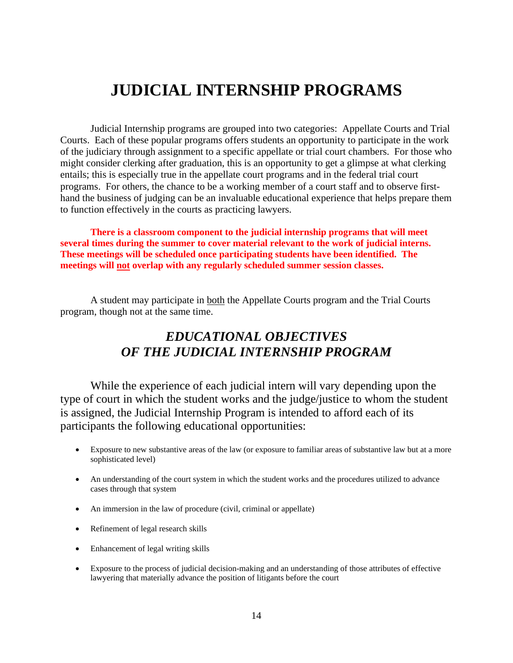# **JUDICIAL INTERNSHIP PROGRAMS**

Judicial Internship programs are grouped into two categories: Appellate Courts and Trial Courts. Each of these popular programs offers students an opportunity to participate in the work of the judiciary through assignment to a specific appellate or trial court chambers. For those who might consider clerking after graduation, this is an opportunity to get a glimpse at what clerking entails; this is especially true in the appellate court programs and in the federal trial court programs. For others, the chance to be a working member of a court staff and to observe firsthand the business of judging can be an invaluable educational experience that helps prepare them to function effectively in the courts as practicing lawyers.

**There is a classroom component to the judicial internship programs that will meet several times during the summer to cover material relevant to the work of judicial interns. These meetings will be scheduled once participating students have been identified. The meetings will not overlap with any regularly scheduled summer session classes.**

A student may participate in both the Appellate Courts program and the Trial Courts program, though not at the same time.

## *EDUCATIONAL OBJECTIVES OF THE JUDICIAL INTERNSHIP PROGRAM*

While the experience of each judicial intern will vary depending upon the type of court in which the student works and the judge/justice to whom the student is assigned, the Judicial Internship Program is intended to afford each of its participants the following educational opportunities:

- Exposure to new substantive areas of the law (or exposure to familiar areas of substantive law but at a more sophisticated level)
- An understanding of the court system in which the student works and the procedures utilized to advance cases through that system
- An immersion in the law of procedure (civil, criminal or appellate)
- Refinement of legal research skills
- Enhancement of legal writing skills
- Exposure to the process of judicial decision-making and an understanding of those attributes of effective lawyering that materially advance the position of litigants before the court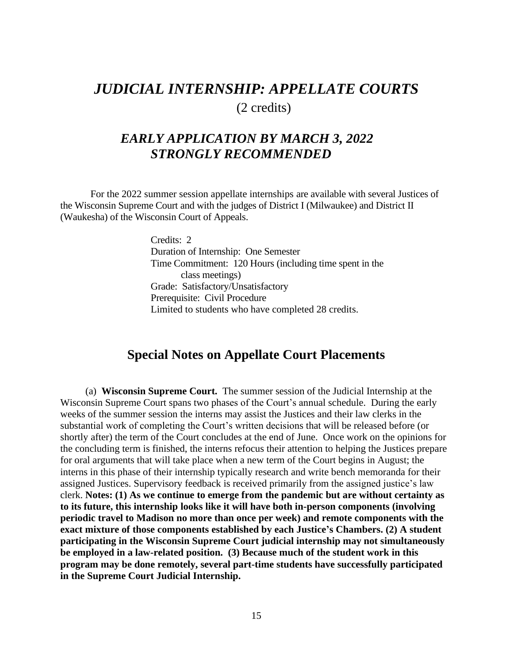# *JUDICIAL INTERNSHIP: APPELLATE COURTS* (2 credits)

## *EARLY APPLICATION BY MARCH 3, 2022 STRONGLY RECOMMENDED*

For the 2022 summer session appellate internships are available with several Justices of the Wisconsin Supreme Court and with the judges of District I (Milwaukee) and District II (Waukesha) of the Wisconsin Court of Appeals.

> Credits: 2 Duration of Internship: One Semester Time Commitment: 120 Hours (including time spent in the class meetings) Grade: Satisfactory/Unsatisfactory Prerequisite: Civil Procedure Limited to students who have completed 28 credits.

## **Special Notes on Appellate Court Placements**

 (a) **Wisconsin Supreme Court.** The summer session of the Judicial Internship at the Wisconsin Supreme Court spans two phases of the Court's annual schedule. During the early weeks of the summer session the interns may assist the Justices and their law clerks in the substantial work of completing the Court's written decisions that will be released before (or shortly after) the term of the Court concludes at the end of June. Once work on the opinions for the concluding term is finished, the interns refocus their attention to helping the Justices prepare for oral arguments that will take place when a new term of the Court begins in August; the interns in this phase of their internship typically research and write bench memoranda for their assigned Justices. Supervisory feedback is received primarily from the assigned justice's law clerk. **Notes: (1) As we continue to emerge from the pandemic but are without certainty as to its future, this internship looks like it will have both in-person components (involving periodic travel to Madison no more than once per week) and remote components with the exact mixture of those components established by each Justice's Chambers. (2) A student participating in the Wisconsin Supreme Court judicial internship may not simultaneously be employed in a law-related position. (3) Because much of the student work in this program may be done remotely, several part-time students have successfully participated in the Supreme Court Judicial Internship.**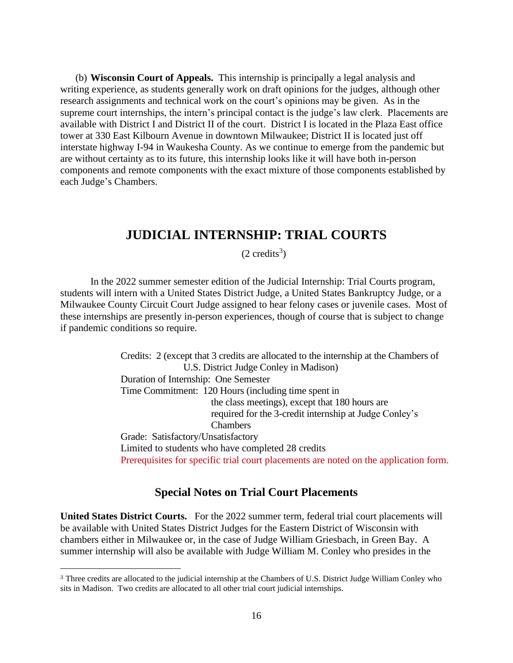(b) **Wisconsin Court of Appeals.** This internship is principally a legal analysis and writing experience, as students generally work on draft opinions for the judges, although other research assignments and technical work on the court's opinions may be given. As in the supreme court internships, the intern's principal contact is the judge's law clerk. Placements are available with District I and District II of the court. District I is located in the Plaza East office tower at 330 East Kilbourn Avenue in downtown Milwaukee; District II is located just off interstate highway I-94 in Waukesha County. As we continue to emerge from the pandemic but are without certainty as to its future, this internship looks like it will have both in-person components and remote components with the exact mixture of those components established by each Judge's Chambers.

## **JUDICIAL INTERNSHIP: TRIAL COURTS**

 $(2 \text{ credits}^3)$ 

In the 2022 summer semester edition of the Judicial Internship: Trial Courts program, students will intern with a United States District Judge, a United States Bankruptcy Judge, or a Milwaukee County Circuit Court Judge assigned to hear felony cases or juvenile cases. Most of these internships are presently in-person experiences, though of course that is subject to change if pandemic conditions so require.

> Credits: 2 (except that 3 credits are allocated to the internship at the Chambers of U.S. District Judge Conley in Madison) Duration of Internship: One Semester Time Commitment: 120 Hours (including time spent in the class meetings), except that 180 hours are required for the 3-credit internship at Judge Conley's Chambers Grade: Satisfactory/Unsatisfactory Limited to students who have completed 28 credits Prerequisites for specific trial court placements are noted on the application form.

#### **Special Notes on Trial Court Placements**

**United States District Courts.** For the 2022 summer term, federal trial court placements will be available with United States District Judges for the Eastern District of Wisconsin with chambers either in Milwaukee or, in the case of Judge William Griesbach, in Green Bay. A summer internship will also be available with Judge William M. Conley who presides in the

<sup>3</sup> Three credits are allocated to the judicial internship at the Chambers of U.S. District Judge William Conley who sits in Madison. Two credits are allocated to all other trial court judicial internships.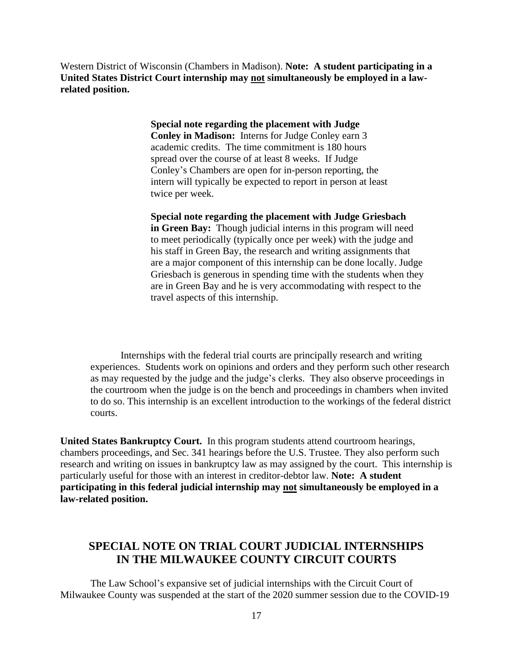Western District of Wisconsin (Chambers in Madison). **Note: A student participating in a United States District Court internship may not simultaneously be employed in a lawrelated position.** 

> **Special note regarding the placement with Judge Conley in Madison:** Interns for Judge Conley earn 3 academic credits. The time commitment is 180 hours spread over the course of at least 8 weeks. If Judge Conley's Chambers are open for in-person reporting, the intern will typically be expected to report in person at least twice per week.

**Special note regarding the placement with Judge Griesbach**

**in Green Bay:** Though judicial interns in this program will need to meet periodically (typically once per week) with the judge and his staff in Green Bay, the research and writing assignments that are a major component of this internship can be done locally. Judge Griesbach is generous in spending time with the students when they are in Green Bay and he is very accommodating with respect to the travel aspects of this internship.

Internships with the federal trial courts are principally research and writing experiences. Students work on opinions and orders and they perform such other research as may requested by the judge and the judge's clerks. They also observe proceedings in the courtroom when the judge is on the bench and proceedings in chambers when invited to do so. This internship is an excellent introduction to the workings of the federal district courts.

**United States Bankruptcy Court.** In this program students attend courtroom hearings, chambers proceedings, and Sec. 341 hearings before the U.S. Trustee. They also perform such research and writing on issues in bankruptcy law as may assigned by the court. This internship is particularly useful for those with an interest in creditor-debtor law. **Note: A student participating in this federal judicial internship may not simultaneously be employed in a law-related position.**

#### **SPECIAL NOTE ON TRIAL COURT JUDICIAL INTERNSHIPS IN THE MILWAUKEE COUNTY CIRCUIT COURTS**

The Law School's expansive set of judicial internships with the Circuit Court of Milwaukee County was suspended at the start of the 2020 summer session due to the COVID-19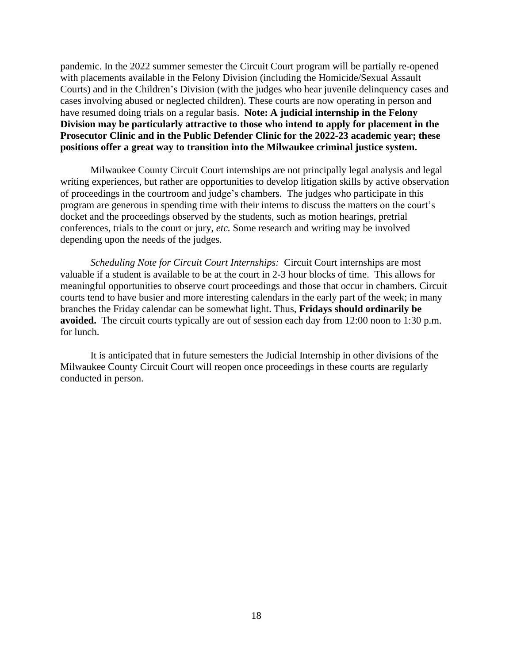pandemic. In the 2022 summer semester the Circuit Court program will be partially re-opened with placements available in the Felony Division (including the Homicide/Sexual Assault Courts) and in the Children's Division (with the judges who hear juvenile delinquency cases and cases involving abused or neglected children). These courts are now operating in person and have resumed doing trials on a regular basis. **Note: A judicial internship in the Felony Division may be particularly attractive to those who intend to apply for placement in the Prosecutor Clinic and in the Public Defender Clinic for the 2022-23 academic year; these positions offer a great way to transition into the Milwaukee criminal justice system.**

Milwaukee County Circuit Court internships are not principally legal analysis and legal writing experiences, but rather are opportunities to develop litigation skills by active observation of proceedings in the courtroom and judge's chambers. The judges who participate in this program are generous in spending time with their interns to discuss the matters on the court's docket and the proceedings observed by the students, such as motion hearings, pretrial conferences, trials to the court or jury, *etc.* Some research and writing may be involved depending upon the needs of the judges.

*Scheduling Note for Circuit Court Internships:* Circuit Court internships are most valuable if a student is available to be at the court in 2-3 hour blocks of time. This allows for meaningful opportunities to observe court proceedings and those that occur in chambers. Circuit courts tend to have busier and more interesting calendars in the early part of the week; in many branches the Friday calendar can be somewhat light. Thus, **Fridays should ordinarily be avoided.** The circuit courts typically are out of session each day from 12:00 noon to 1:30 p.m. for lunch.

It is anticipated that in future semesters the Judicial Internship in other divisions of the Milwaukee County Circuit Court will reopen once proceedings in these courts are regularly conducted in person.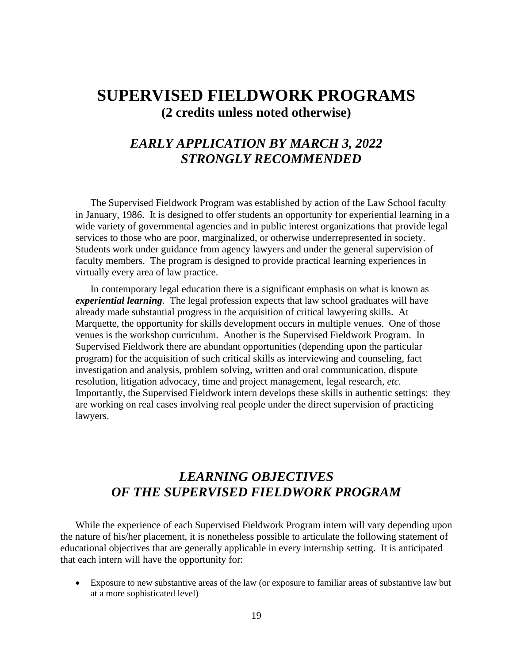# **SUPERVISED FIELDWORK PROGRAMS (2 credits unless noted otherwise)**

## *EARLY APPLICATION BY MARCH 3, 2022 STRONGLY RECOMMENDED*

The Supervised Fieldwork Program was established by action of the Law School faculty in January, 1986. It is designed to offer students an opportunity for experiential learning in a wide variety of governmental agencies and in public interest organizations that provide legal services to those who are poor, marginalized, or otherwise underrepresented in society. Students work under guidance from agency lawyers and under the general supervision of faculty members. The program is designed to provide practical learning experiences in virtually every area of law practice.

In contemporary legal education there is a significant emphasis on what is known as *experiential learning.* The legal profession expects that law school graduates will have already made substantial progress in the acquisition of critical lawyering skills. At Marquette, the opportunity for skills development occurs in multiple venues. One of those venues is the workshop curriculum. Another is the Supervised Fieldwork Program. In Supervised Fieldwork there are abundant opportunities (depending upon the particular program) for the acquisition of such critical skills as interviewing and counseling, fact investigation and analysis, problem solving, written and oral communication, dispute resolution, litigation advocacy, time and project management, legal research, *etc.* Importantly, the Supervised Fieldwork intern develops these skills in authentic settings: they are working on real cases involving real people under the direct supervision of practicing lawyers.

## *LEARNING OBJECTIVES OF THE SUPERVISED FIELDWORK PROGRAM*

While the experience of each Supervised Fieldwork Program intern will vary depending upon the nature of his/her placement, it is nonetheless possible to articulate the following statement of educational objectives that are generally applicable in every internship setting. It is anticipated that each intern will have the opportunity for:

• Exposure to new substantive areas of the law (or exposure to familiar areas of substantive law but at a more sophisticated level)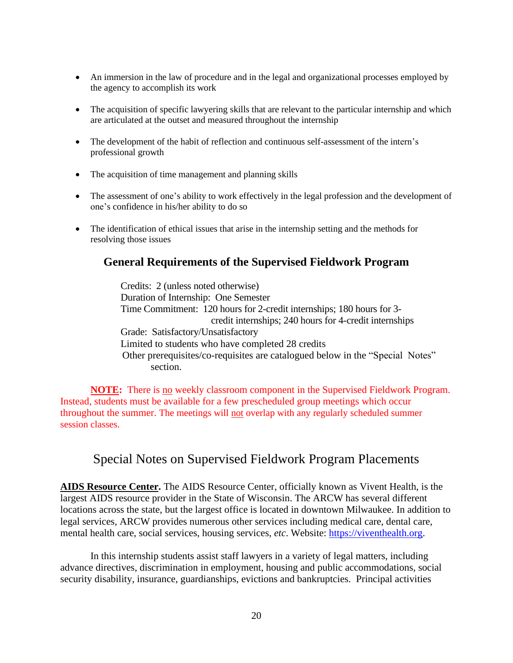- An immersion in the law of procedure and in the legal and organizational processes employed by the agency to accomplish its work
- The acquisition of specific lawyering skills that are relevant to the particular internship and which are articulated at the outset and measured throughout the internship
- The development of the habit of reflection and continuous self-assessment of the intern's professional growth
- The acquisition of time management and planning skills
- The assessment of one's ability to work effectively in the legal profession and the development of one's confidence in his/her ability to do so
- The identification of ethical issues that arise in the internship setting and the methods for resolving those issues

#### **General Requirements of the Supervised Fieldwork Program**

Credits: 2 (unless noted otherwise) Duration of Internship: One Semester Time Commitment: 120 hours for 2-credit internships; 180 hours for 3 credit internships; 240 hours for 4-credit internships Grade: Satisfactory/Unsatisfactory Limited to students who have completed 28 credits Other prerequisites/co-requisites are catalogued below in the "Special Notes" section.

**NOTE:** There is no weekly classroom component in the Supervised Fieldwork Program. Instead, students must be available for a few prescheduled group meetings which occur throughout the summer. The meetings will not overlap with any regularly scheduled summer session classes.

### Special Notes on Supervised Fieldwork Program Placements

**AIDS Resource Center.** The AIDS Resource Center, officially known as Vivent Health, is the largest AIDS resource provider in the State of Wisconsin. The ARCW has several different locations across the state, but the largest office is located in downtown Milwaukee. In addition to legal services, ARCW provides numerous other services including medical care, dental care, mental health care, social services, housing services, *etc*. Website: [https://viventhealth.org.](https://viventhealth.org/)

In this internship students assist staff lawyers in a variety of legal matters, including advance directives, discrimination in employment, housing and public accommodations, social security disability, insurance, guardianships, evictions and bankruptcies. Principal activities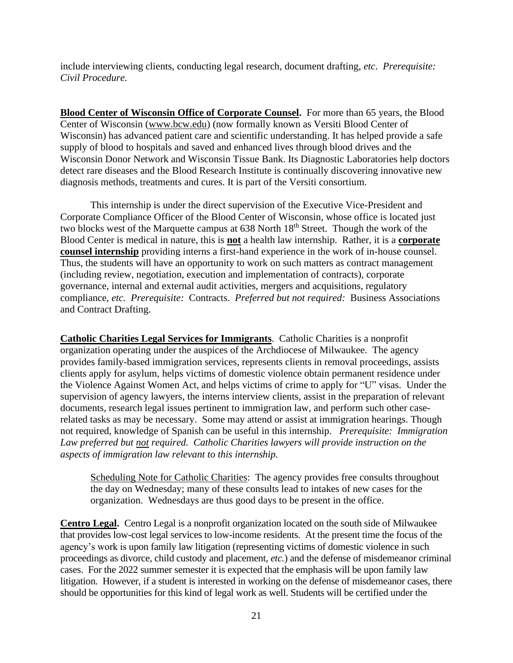include interviewing clients, conducting legal research, document drafting, *etc*. *Prerequisite: Civil Procedure.*

**Blood Center of Wisconsin Office of Corporate Counsel.** For more than 65 years, the Blood Center of Wisconsin [\(www.bcw.edu\)](http://www.bcw.edu/) (now formally known as Versiti Blood Center of Wisconsin) has advanced patient care and scientific understanding. It has helped provide a safe supply of blood to hospitals and saved and enhanced lives through blood drives and the Wisconsin Donor Network and Wisconsin Tissue Bank. Its Diagnostic Laboratories help doctors detect rare diseases and the Blood Research Institute is continually discovering innovative new diagnosis methods, treatments and cures. It is part of the Versiti consortium.

This internship is under the direct supervision of the Executive Vice-President and Corporate Compliance Officer of the Blood Center of Wisconsin, whose office is located just two blocks west of the Marquette campus at 638 North 18<sup>th</sup> Street. Though the work of the Blood Center is medical in nature, this is **not** a health law internship. Rather, it is a **corporate counsel internship** providing interns a first-hand experience in the work of in-house counsel. Thus, the students will have an opportunity to work on such matters as contract management (including review, negotiation, execution and implementation of contracts), corporate governance, internal and external audit activities, mergers and acquisitions, regulatory compliance, *etc. Prerequisite:* Contracts. *Preferred but not required:* Business Associations and Contract Drafting.

**Catholic Charities Legal Services for Immigrants**. Catholic Charities is a nonprofit organization operating under the auspices of the Archdiocese of Milwaukee. The agency provides family-based immigration services, represents clients in removal proceedings, assists clients apply for asylum, helps victims of domestic violence obtain permanent residence under the Violence Against Women Act, and helps victims of crime to apply for "U" visas. Under the supervision of agency lawyers, the interns interview clients, assist in the preparation of relevant documents, research legal issues pertinent to immigration law, and perform such other caserelated tasks as may be necessary. Some may attend or assist at immigration hearings. Though not required, knowledge of Spanish can be useful in this internship. *Prerequisite: Immigration Law preferred but not required. Catholic Charities lawyers will provide instruction on the aspects of immigration law relevant to this internship.*

Scheduling Note for Catholic Charities: The agency provides free consults throughout the day on Wednesday; many of these consults lead to intakes of new cases for the organization. Wednesdays are thus good days to be present in the office.

**Centro Legal.** Centro Legal is a nonprofit organization located on the south side of Milwaukee that provides low-cost legal services to low-income residents. At the present time the focus of the agency's work is upon family law litigation (representing victims of domestic violence in such proceedings as divorce, child custody and placement, *etc.*) and the defense of misdemeanor criminal cases. For the 2022 summer semester it is expected that the emphasis will be upon family law litigation. However, if a student is interested in working on the defense of misdemeanor cases, there should be opportunities for this kind of legal work as well. Students will be certified under the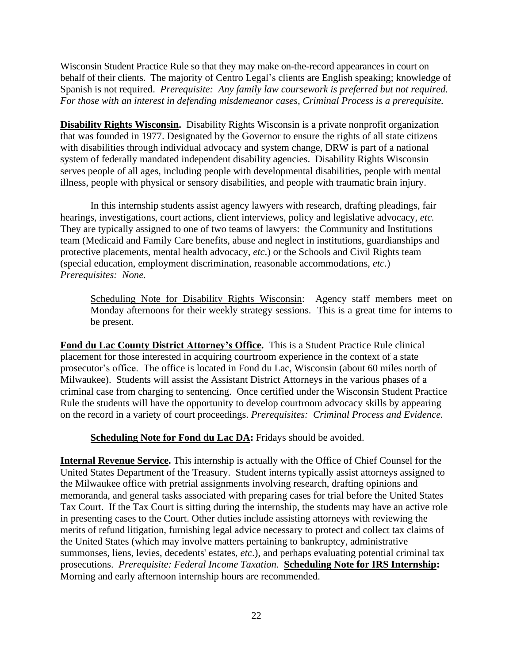Wisconsin Student Practice Rule so that they may make on-the-record appearances in court on behalf of their clients. The majority of Centro Legal's clients are English speaking; knowledge of Spanish is not required. *Prerequisite: Any family law coursework is preferred but not required. For those with an interest in defending misdemeanor cases, Criminal Process is a prerequisite.*

**Disability Rights Wisconsin.** Disability Rights Wisconsin is a private nonprofit organization that was founded in 1977. Designated by the Governor to ensure the rights of all state citizens with disabilities through individual advocacy and system change, DRW is part of a national system of federally mandated independent disability agencies. Disability Rights Wisconsin serves people of all ages, including people with developmental disabilities, people with mental illness, people with physical or sensory disabilities, and people with traumatic brain injury.

In this internship students assist agency lawyers with research, drafting pleadings, fair hearings, investigations, court actions, client interviews, policy and legislative advocacy, *etc.* They are typically assigned to one of two teams of lawyers: the Community and Institutions team (Medicaid and Family Care benefits, abuse and neglect in institutions, guardianships and protective placements, mental health advocacy, *etc*.) or the Schools and Civil Rights team (special education, employment discrimination, reasonable accommodations, *etc.*) *Prerequisites: None.*

Scheduling Note for Disability Rights Wisconsin: Agency staff members meet on Monday afternoons for their weekly strategy sessions. This is a great time for interns to be present.

**Fond du Lac County District Attorney's Office.** This is a Student Practice Rule clinical placement for those interested in acquiring courtroom experience in the context of a state prosecutor's office. The office is located in Fond du Lac, Wisconsin (about 60 miles north of Milwaukee). Students will assist the Assistant District Attorneys in the various phases of a criminal case from charging to sentencing. Once certified under the Wisconsin Student Practice Rule the students will have the opportunity to develop courtroom advocacy skills by appearing on the record in a variety of court proceedings. *Prerequisites: Criminal Process and Evidence.* 

**Scheduling Note for Fond du Lac DA:** Fridays should be avoided.

**Internal Revenue Service.** This internship is actually with the Office of Chief Counsel for the United States Department of the Treasury. Student interns typically assist attorneys assigned to the Milwaukee office with pretrial assignments involving research, drafting opinions and memoranda, and general tasks associated with preparing cases for trial before the United States Tax Court. If the Tax Court is sitting during the internship, the students may have an active role in presenting cases to the Court. Other duties include assisting attorneys with reviewing the merits of refund litigation, furnishing legal advice necessary to protect and collect tax claims of the United States (which may involve matters pertaining to bankruptcy, administrative summonses, liens, levies, decedents' estates, *etc*.), and perhaps evaluating potential criminal tax prosecutions. *Prerequisite: Federal Income Taxation.* **Scheduling Note for IRS Internship:** Morning and early afternoon internship hours are recommended.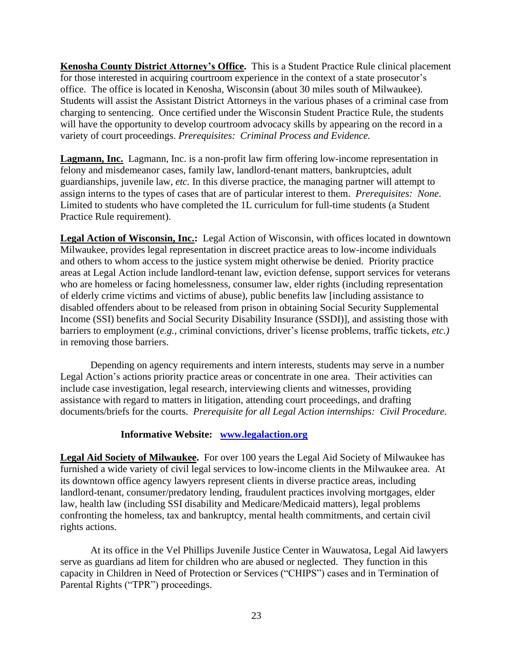**Kenosha County District Attorney's Office.** This is a Student Practice Rule clinical placement for those interested in acquiring courtroom experience in the context of a state prosecutor's office. The office is located in Kenosha, Wisconsin (about 30 miles south of Milwaukee). Students will assist the Assistant District Attorneys in the various phases of a criminal case from charging to sentencing. Once certified under the Wisconsin Student Practice Rule, the students will have the opportunity to develop courtroom advocacy skills by appearing on the record in a variety of court proceedings. *Prerequisites: Criminal Process and Evidence.* 

**Lagmann, Inc.** Lagmann, Inc. is a non-profit law firm offering low-income representation in felony and misdemeanor cases, family law, landlord-tenant matters, bankruptcies, adult guardianships, juvenile law, *etc.* In this diverse practice, the managing partner will attempt to assign interns to the types of cases that are of particular interest to them. *Prerequisites: None*. Limited to students who have completed the 1L curriculum for full-time students (a Student Practice Rule requirement).

**Legal Action of Wisconsin, Inc.:** Legal Action of Wisconsin, with offices located in downtown Milwaukee, provides legal representation in discreet practice areas to low-income individuals and others to whom access to the justice system might otherwise be denied. Priority practice areas at Legal Action include landlord-tenant law, eviction defense, support services for veterans who are homeless or facing homelessness, consumer law, elder rights (including representation of elderly crime victims and victims of abuse), public benefits law [including assistance to disabled offenders about to be released from prison in obtaining Social Security Supplemental Income (SSI) benefits and Social Security Disability Insurance (SSDI)], and assisting those with barriers to employment (*e.g.,* criminal convictions, driver's license problems, traffic tickets, *etc.)*  in removing those barriers.

Depending on agency requirements and intern interests, students may serve in a number Legal Action's actions priority practice areas or concentrate in one area. Their activities can include case investigation, legal research, interviewing clients and witnesses, providing assistance with regard to matters in litigation, attending court proceedings, and drafting documents/briefs for the courts. *Prerequisite for all Legal Action internships: Civil Procedure.*

#### **Informative Website: [www.legalaction.org](http://www.legalaction.org/)**

**Legal Aid Society of Milwaukee.** For over 100 years the Legal Aid Society of Milwaukee has furnished a wide variety of civil legal services to low-income clients in the Milwaukee area. At its downtown office agency lawyers represent clients in diverse practice areas, including landlord-tenant, consumer/predatory lending, fraudulent practices involving mortgages, elder law, health law (including SSI disability and Medicare/Medicaid matters), legal problems confronting the homeless, tax and bankruptcy*,* mental health commitments, and certain civil rights actions.

At its office in the Vel Phillips Juvenile Justice Center in Wauwatosa, Legal Aid lawyers serve as guardians ad litem for children who are abused or neglected. They function in this capacity in Children in Need of Protection or Services ("CHIPS") cases and in Termination of Parental Rights ("TPR") proceedings.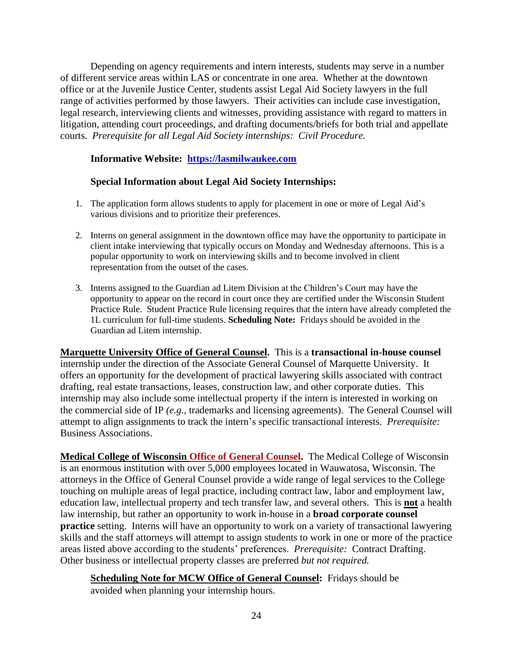Depending on agency requirements and intern interests, students may serve in a number of different service areas within LAS or concentrate in one area. Whether at the downtown office or at the Juvenile Justice Center, students assist Legal Aid Society lawyers in the full range of activities performed by those lawyers. Their activities can include case investigation, legal research, interviewing clients and witnesses, providing assistance with regard to matters in litigation, attending court proceedings, and drafting documents/briefs for both trial and appellate courts. *Prerequisite for all Legal Aid Society internships: Civil Procedure.*

#### **Informative Website: [https://lasmilwaukee.com](https://lasmilwaukee.com/)**

#### **Special Information about Legal Aid Society Internships:**

- 1. The application form allows students to apply for placement in one or more of Legal Aid's various divisions and to prioritize their preferences.
- 2. Interns on general assignment in the downtown office may have the opportunity to participate in client intake interviewing that typically occurs on Monday and Wednesday afternoons. This is a popular opportunity to work on interviewing skills and to become involved in client representation from the outset of the cases.
- 3. Interns assigned to the Guardian ad Litem Division at the Children's Court may have the opportunity to appear on the record in court once they are certified under the Wisconsin Student Practice Rule. Student Practice Rule licensing requires that the intern have already completed the 1L curriculum for full-time students. **Scheduling Note:** Fridays should be avoided in the Guardian ad Litem internship.

**Marquette University Office of General Counsel.** This is a **transactional in-house counsel** internship under the direction of the Associate General Counsel of Marquette University. It offers an opportunity for the development of practical lawyering skills associated with contract drafting, real estate transactions, leases, construction law, and other corporate duties. This internship may also include some intellectual property if the intern is interested in working on the commercial side of IP *(e.g.,* trademarks and licensing agreements). The General Counsel will attempt to align assignments to track the intern's specific transactional interests. *Prerequisite:*  Business Associations.

**Medical College of Wisconsin Office of General Counsel.** The Medical College of Wisconsin is an enormous institution with over 5,000 employees located in Wauwatosa, Wisconsin. The attorneys in the Office of General Counsel provide a wide range of legal services to the College touching on multiple areas of legal practice, including contract law, labor and employment law, education law, intellectual property and tech transfer law, and several others. This is **not** a health law internship, but rather an opportunity to work in-house in a **broad corporate counsel practice** setting. Interns will have an opportunity to work on a variety of transactional lawyering skills and the staff attorneys will attempt to assign students to work in one or more of the practice areas listed above according to the students' preferences. *Prerequisite:* Contract Drafting. Other business or intellectual property classes are preferred *but not required.*

**Scheduling Note for MCW Office of General Counsel:** Fridays should be avoided when planning your internship hours.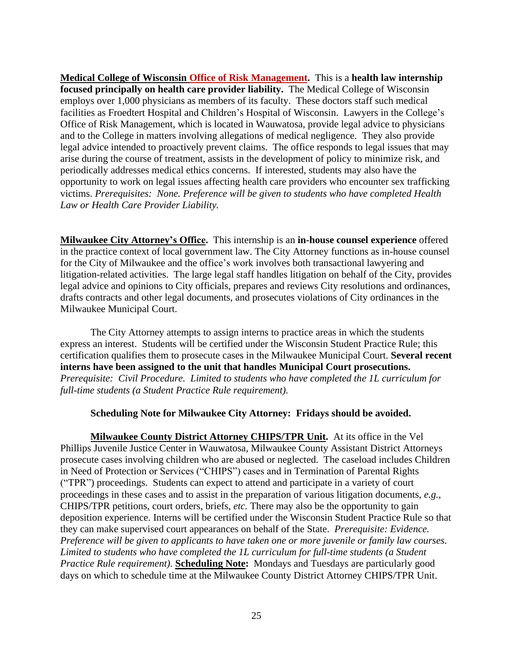**Medical College of Wisconsin Office of Risk Management.** This is a **health law internship focused principally on health care provider liability.** The Medical College of Wisconsin employs over 1,000 physicians as members of its faculty. These doctors staff such medical facilities as Froedtert Hospital and Children's Hospital of Wisconsin. Lawyers in the College's Office of Risk Management, which is located in Wauwatosa, provide legal advice to physicians and to the College in matters involving allegations of medical negligence. They also provide legal advice intended to proactively prevent claims. The office responds to legal issues that may arise during the course of treatment, assists in the development of policy to minimize risk, and periodically addresses medical ethics concerns. If interested, students may also have the opportunity to work on legal issues affecting health care providers who encounter sex trafficking victims. *Prerequisites: None. Preference will be given to students who have completed Health Law or Health Care Provider Liability.*

**Milwaukee City Attorney's Office.** This internship is an **in-house counsel experience** offered in the practice context of local government law. The City Attorney functions as in-house counsel for the City of Milwaukee and the office's work involves both transactional lawyering and litigation-related activities. The large legal staff handles litigation on behalf of the City, provides legal advice and opinions to City officials, prepares and reviews City resolutions and ordinances, drafts contracts and other legal documents, and prosecutes violations of City ordinances in the Milwaukee Municipal Court.

The City Attorney attempts to assign interns to practice areas in which the students express an interest. Students will be certified under the Wisconsin Student Practice Rule; this certification qualifies them to prosecute cases in the Milwaukee Municipal Court. **Several recent interns have been assigned to the unit that handles Municipal Court prosecutions.**  *Prerequisite: Civil Procedure. Limited to students who have completed the 1L curriculum for full-time students (a Student Practice Rule requirement).*

#### **Scheduling Note for Milwaukee City Attorney: Fridays should be avoided.**

**Milwaukee County District Attorney CHIPS/TPR Unit.** At its office in the Vel Phillips Juvenile Justice Center in Wauwatosa, Milwaukee County Assistant District Attorneys prosecute cases involving children who are abused or neglected. The caseload includes Children in Need of Protection or Services ("CHIPS") cases and in Termination of Parental Rights ("TPR") proceedings. Students can expect to attend and participate in a variety of court proceedings in these cases and to assist in the preparation of various litigation documents, *e.g.,*  CHIPS/TPR petitions, court orders, briefs, *etc.* There may also be the opportunity to gain deposition experience. Interns will be certified under the Wisconsin Student Practice Rule so that they can make supervised court appearances on behalf of the State. *Prerequisite: Evidence. Preference will be given to applicants to have taken one or more juvenile or family law courses*. *Limited to students who have completed the 1L curriculum for full-time students (a Student Practice Rule requirement).* **Scheduling Note:** Mondays and Tuesdays are particularly good days on which to schedule time at the Milwaukee County District Attorney CHIPS/TPR Unit.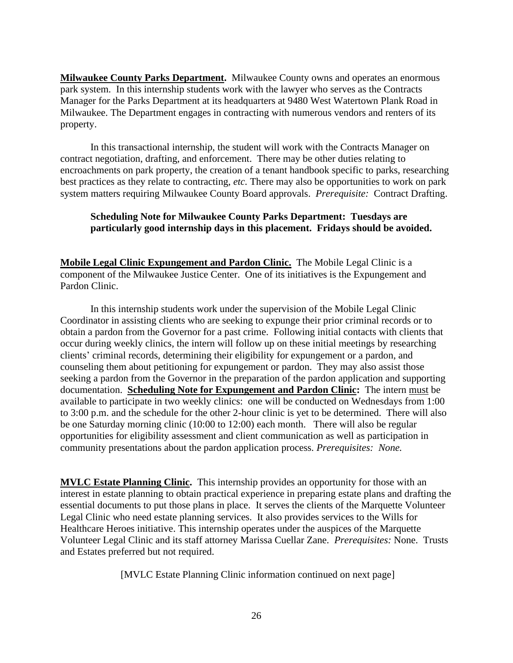**Milwaukee County Parks Department.** Milwaukee County owns and operates an enormous park system. In this internship students work with the lawyer who serves as the Contracts Manager for the Parks Department at its headquarters at 9480 West Watertown Plank Road in Milwaukee. The Department engages in contracting with numerous vendors and renters of its property.

In this transactional internship, the student will work with the Contracts Manager on contract negotiation, drafting, and enforcement. There may be other duties relating to encroachments on park property, the creation of a tenant handbook specific to parks, researching best practices as they relate to contracting, *etc.* There may also be opportunities to work on park system matters requiring Milwaukee County Board approvals. *Prerequisite:* Contract Drafting.

#### **Scheduling Note for Milwaukee County Parks Department: Tuesdays are particularly good internship days in this placement. Fridays should be avoided.**

**Mobile Legal Clinic Expungement and Pardon Clinic.** The Mobile Legal Clinic is a component of the Milwaukee Justice Center. One of its initiatives is the Expungement and Pardon Clinic.

In this internship students work under the supervision of the Mobile Legal Clinic Coordinator in assisting clients who are seeking to expunge their prior criminal records or to obtain a pardon from the Governor for a past crime. Following initial contacts with clients that occur during weekly clinics, the intern will follow up on these initial meetings by researching clients' criminal records, determining their eligibility for expungement or a pardon, and counseling them about petitioning for expungement or pardon. They may also assist those seeking a pardon from the Governor in the preparation of the pardon application and supporting documentation. **Scheduling Note for Expungement and Pardon Clinic:** The intern must be available to participate in two weekly clinics: one will be conducted on Wednesdays from 1:00 to 3:00 p.m. and the schedule for the other 2-hour clinic is yet to be determined. There will also be one Saturday morning clinic (10:00 to 12:00) each month. There will also be regular opportunities for eligibility assessment and client communication as well as participation in community presentations about the pardon application process. *Prerequisites: None.*

**MVLC Estate Planning Clinic.** This internship provides an opportunity for those with an interest in estate planning to obtain practical experience in preparing estate plans and drafting the essential documents to put those plans in place. It serves the clients of the Marquette Volunteer Legal Clinic who need estate planning services. It also provides services to the Wills for Healthcare Heroes initiative. This internship operates under the auspices of the Marquette Volunteer Legal Clinic and its staff attorney Marissa Cuellar Zane. *Prerequisites:* None. Trusts and Estates preferred but not required.

[MVLC Estate Planning Clinic information continued on next page]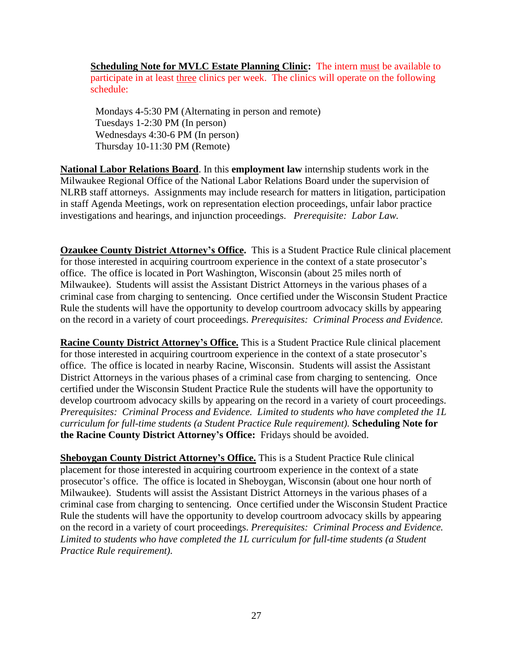**Scheduling Note for MVLC Estate Planning Clinic:** The intern must be available to participate in at least three clinics per week. The clinics will operate on the following schedule:

 Mondays 4-5:30 PM (Alternating in person and remote) Tuesdays 1-2:30 PM (In person) Wednesdays 4:30-6 PM (In person) Thursday 10-11:30 PM (Remote)

**National Labor Relations Board**. In this **employment law** internship students work in the Milwaukee Regional Office of the National Labor Relations Board under the supervision of NLRB staff attorneys. Assignments may include research for matters in litigation, participation in staff Agenda Meetings, work on representation election proceedings, unfair labor practice investigations and hearings, and injunction proceedings. *Prerequisite: Labor Law.*

**Ozaukee County District Attorney's Office.** This is a Student Practice Rule clinical placement for those interested in acquiring courtroom experience in the context of a state prosecutor's office. The office is located in Port Washington, Wisconsin (about 25 miles north of Milwaukee). Students will assist the Assistant District Attorneys in the various phases of a criminal case from charging to sentencing. Once certified under the Wisconsin Student Practice Rule the students will have the opportunity to develop courtroom advocacy skills by appearing on the record in a variety of court proceedings. *Prerequisites: Criminal Process and Evidence.* 

**Racine County District Attorney's Office.** This is a Student Practice Rule clinical placement for those interested in acquiring courtroom experience in the context of a state prosecutor's office. The office is located in nearby Racine, Wisconsin. Students will assist the Assistant District Attorneys in the various phases of a criminal case from charging to sentencing. Once certified under the Wisconsin Student Practice Rule the students will have the opportunity to develop courtroom advocacy skills by appearing on the record in a variety of court proceedings. *Prerequisites: Criminal Process and Evidence. Limited to students who have completed the 1L curriculum for full-time students (a Student Practice Rule requirement).* **Scheduling Note for the Racine County District Attorney's Office:** Fridays should be avoided.

**Sheboygan County District Attorney's Office.** This is a Student Practice Rule clinical placement for those interested in acquiring courtroom experience in the context of a state prosecutor's office. The office is located in Sheboygan, Wisconsin (about one hour north of Milwaukee). Students will assist the Assistant District Attorneys in the various phases of a criminal case from charging to sentencing. Once certified under the Wisconsin Student Practice Rule the students will have the opportunity to develop courtroom advocacy skills by appearing on the record in a variety of court proceedings. *Prerequisites: Criminal Process and Evidence. Limited to students who have completed the 1L curriculum for full-time students (a Student Practice Rule requirement).*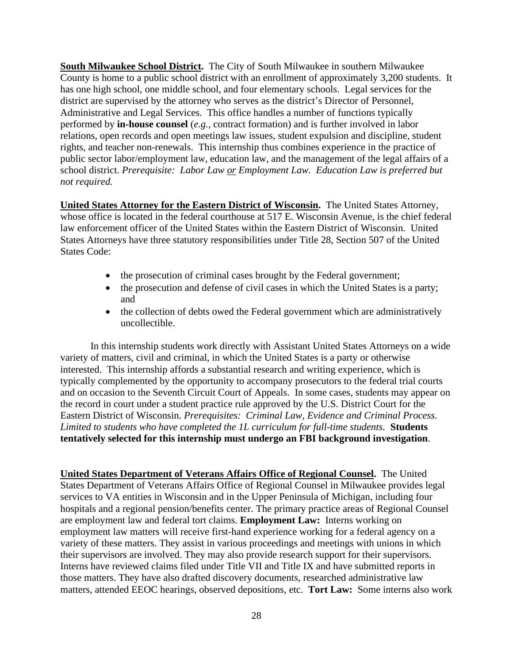**South Milwaukee School District.** The City of South Milwaukee in southern Milwaukee County is home to a public school district with an enrollment of approximately 3,200 students. It has one high school, one middle school, and four elementary schools. Legal services for the district are supervised by the attorney who serves as the district's Director of Personnel, Administrative and Legal Services. This office handles a number of functions typically performed by **in-house counsel** (*e.g.,* contract formation) and is further involved in labor relations, open records and open meetings law issues, student expulsion and discipline, student rights, and teacher non-renewals. This internship thus combines experience in the practice of public sector labor/employment law, education law, and the management of the legal affairs of a school district. *Prerequisite: Labor Law or Employment Law. Education Law is preferred but not required.*

**United States Attorney for the Eastern District of Wisconsin.** The United States Attorney, whose office is located in the federal courthouse at 517 E. Wisconsin Avenue, is the chief federal law enforcement officer of the United States within the Eastern District of Wisconsin. United States Attorneys have three statutory responsibilities under Title 28, Section 507 of the United States Code:

- the prosecution of criminal cases brought by the Federal government;
- the prosecution and defense of civil cases in which the United States is a party; and
- the collection of debts owed the Federal government which are administratively uncollectible.

In this internship students work directly with Assistant United States Attorneys on a wide variety of matters, civil and criminal, in which the United States is a party or otherwise interested. This internship affords a substantial research and writing experience, which is typically complemented by the opportunity to accompany prosecutors to the federal trial courts and on occasion to the Seventh Circuit Court of Appeals. In some cases, students may appear on the record in court under a student practice rule approved by the U.S. District Court for the Eastern District of Wisconsin. *Prerequisites: Criminal Law, Evidence and Criminal Process. Limited to students who have completed the 1L curriculum for full-time students.* **Students tentatively selected for this internship must undergo an FBI background investigation**.

**United States Department of Veterans Affairs Office of Regional Counsel.** The United States Department of Veterans Affairs Office of Regional Counsel in Milwaukee provides legal services to VA entities in Wisconsin and in the Upper Peninsula of Michigan, including four hospitals and a regional pension/benefits center. The primary practice areas of Regional Counsel are employment law and federal tort claims. **Employment Law:** Interns working on employment law matters will receive first-hand experience working for a federal agency on a variety of these matters. They assist in various proceedings and meetings with unions in which their supervisors are involved. They may also provide research support for their supervisors. Interns have reviewed claims filed under Title VII and Title IX and have submitted reports in those matters. They have also drafted discovery documents, researched administrative law matters, attended EEOC hearings, observed depositions, etc. **Tort Law:** Some interns also work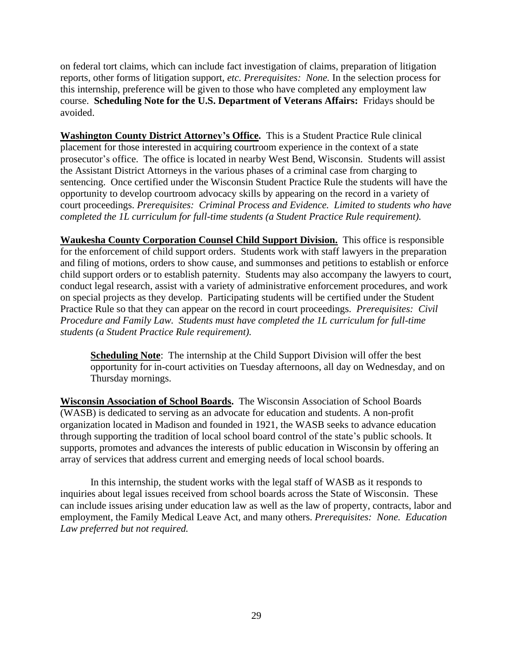on federal tort claims, which can include fact investigation of claims, preparation of litigation reports, other forms of litigation support, *etc. Prerequisites: None.* In the selection process for this internship, preference will be given to those who have completed any employment law course. **Scheduling Note for the U.S. Department of Veterans Affairs:** Fridays should be avoided.

**Washington County District Attorney's Office.** This is a Student Practice Rule clinical placement for those interested in acquiring courtroom experience in the context of a state prosecutor's office. The office is located in nearby West Bend, Wisconsin. Students will assist the Assistant District Attorneys in the various phases of a criminal case from charging to sentencing. Once certified under the Wisconsin Student Practice Rule the students will have the opportunity to develop courtroom advocacy skills by appearing on the record in a variety of court proceedings. *Prerequisites: Criminal Process and Evidence. Limited to students who have completed the 1L curriculum for full-time students (a Student Practice Rule requirement).*

**Waukesha County Corporation Counsel Child Support Division.** This office is responsible for the enforcement of child support orders. Students work with staff lawyers in the preparation and filing of motions, orders to show cause, and summonses and petitions to establish or enforce child support orders or to establish paternity. Students may also accompany the lawyers to court, conduct legal research, assist with a variety of administrative enforcement procedures, and work on special projects as they develop. Participating students will be certified under the Student Practice Rule so that they can appear on the record in court proceedings. *Prerequisites: Civil Procedure and Family Law. Students must have completed the 1L curriculum for full-time students (a Student Practice Rule requirement).* 

**Scheduling Note**: The internship at the Child Support Division will offer the best opportunity for in-court activities on Tuesday afternoons, all day on Wednesday, and on Thursday mornings.

**Wisconsin Association of School Boards.** The Wisconsin Association of School Boards (WASB) is dedicated to serving as an advocate for education and students. A non-profit organization located in Madison and founded in 1921, the WASB seeks to advance education through supporting the tradition of local school board control of the state's public schools. It supports, promotes and advances the interests of public education in Wisconsin by offering an array of services that address current and emerging needs of local school boards.

In this internship, the student works with the legal staff of WASB as it responds to inquiries about legal issues received from school boards across the State of Wisconsin. These can include issues arising under education law as well as the law of property, contracts, labor and employment, the Family Medical Leave Act, and many others. *Prerequisites: None. Education Law preferred but not required.*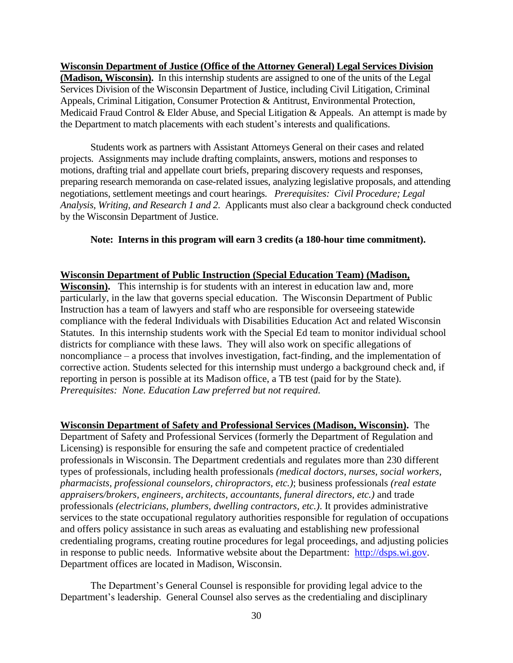**Wisconsin Department of Justice (Office of the Attorney General) Legal Services Division (Madison, Wisconsin).** In this internship students are assigned to one of the units of the Legal Services Division of the Wisconsin Department of Justice, including Civil Litigation, Criminal Appeals, Criminal Litigation, Consumer Protection & Antitrust, Environmental Protection, Medicaid Fraud Control & Elder Abuse, and Special Litigation & Appeals. An attempt is made by the Department to match placements with each student's interests and qualifications.

Students work as partners with Assistant Attorneys General on their cases and related projects. Assignments may include drafting complaints, answers, motions and responses to motions, drafting trial and appellate court briefs, preparing discovery requests and responses, preparing research memoranda on case-related issues, analyzing legislative proposals, and attending negotiations, settlement meetings and court hearings. *Prerequisites: Civil Procedure; Legal Analysis, Writing, and Research 1 and 2.* Applicants must also clear a background check conducted by the Wisconsin Department of Justice.

#### **Note: Interns in this program will earn 3 credits (a 180-hour time commitment).**

#### **Wisconsin Department of Public Instruction (Special Education Team) (Madison,**

**Wisconsin).** This internship is for students with an interest in education law and, more particularly, in the law that governs special education. The Wisconsin Department of Public Instruction has a team of lawyers and staff who are responsible for overseeing statewide compliance with the federal Individuals with Disabilities Education Act and related Wisconsin Statutes. In this internship students work with the Special Ed team to monitor individual school districts for compliance with these laws. They will also work on specific allegations of noncompliance – a process that involves investigation, fact-finding, and the implementation of corrective action. Students selected for this internship must undergo a background check and, if reporting in person is possible at its Madison office, a TB test (paid for by the State). *Prerequisites: None. Education Law preferred but not required.*

**Wisconsin Department of Safety and Professional Services (Madison, Wisconsin).** The Department of Safety and Professional Services (formerly the Department of Regulation and Licensing) is responsible for ensuring the safe and competent practice of credentialed professionals in Wisconsin. The Department credentials and regulates more than 230 different types of professionals, including health professionals *(medical doctors, nurses, social workers, pharmacists, professional counselors, chiropractors, etc.)*; business professionals *(real estate appraisers/brokers, engineers, architects, accountants, funeral directors, etc.)* and trade professionals *(electricians, plumbers, dwelling contractors, etc.)*. It provides administrative services to the state occupational regulatory authorities responsible for regulation of occupations and offers policy assistance in such areas as evaluating and establishing new professional credentialing programs, creating routine procedures for legal proceedings, and adjusting policies in response to public needs. Informative website about the Department: [http://dsps.wi.gov.](http://dsps.wi.gov/) Department offices are located in Madison, Wisconsin.

The Department's General Counsel is responsible for providing legal advice to the Department's leadership. General Counsel also serves as the credentialing and disciplinary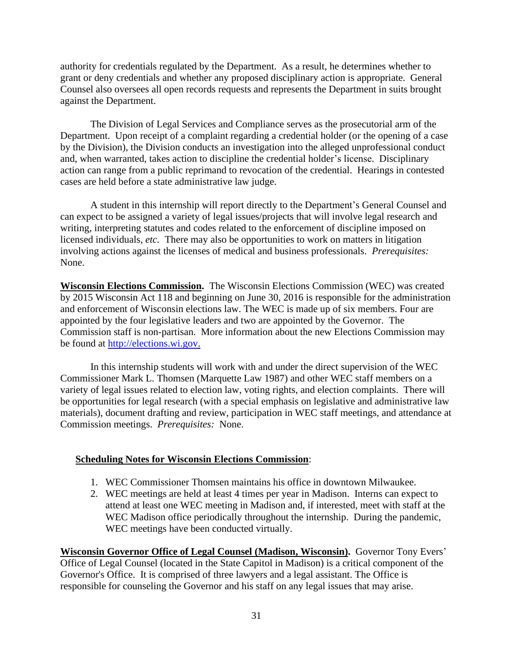authority for credentials regulated by the Department. As a result, he determines whether to grant or deny credentials and whether any proposed disciplinary action is appropriate. General Counsel also oversees all open records requests and represents the Department in suits brought against the Department.

The Division of Legal Services and Compliance serves as the prosecutorial arm of the Department. Upon receipt of a complaint regarding a credential holder (or the opening of a case by the Division), the Division conducts an investigation into the alleged unprofessional conduct and, when warranted, takes action to discipline the credential holder's license. Disciplinary action can range from a public reprimand to revocation of the credential. Hearings in contested cases are held before a state administrative law judge.

A student in this internship will report directly to the Department's General Counsel and can expect to be assigned a variety of legal issues/projects that will involve legal research and writing, interpreting statutes and codes related to the enforcement of discipline imposed on licensed individuals, *etc.* There may also be opportunities to work on matters in litigation involving actions against the licenses of medical and business professionals. *Prerequisites:*  None.

**Wisconsin Elections Commission.** The Wisconsin Elections Commission (WEC) was created by 2015 Wisconsin Act 118 and beginning on June 30, 2016 is responsible for the administration and enforcement of Wisconsin elections law. The WEC is made up of six members. Four are appointed by the four legislative leaders and two are appointed by the Governor. The Commission staff is non-partisan. More information about the new Elections Commission may be found at [http://elections.wi.gov.](http://elections.wi.gov/)

In this internship students will work with and under the direct supervision of the WEC Commissioner Mark L. Thomsen (Marquette Law 1987) and other WEC staff members on a variety of legal issues related to election law, voting rights, and election complaints. There will be opportunities for legal research (with a special emphasis on legislative and administrative law materials), document drafting and review, participation in WEC staff meetings, and attendance at Commission meetings. *Prerequisites:* None.

#### **Scheduling Notes for Wisconsin Elections Commission**:

- 1. WEC Commissioner Thomsen maintains his office in downtown Milwaukee.
- 2. WEC meetings are held at least 4 times per year in Madison. Interns can expect to attend at least one WEC meeting in Madison and, if interested, meet with staff at the WEC Madison office periodically throughout the internship. During the pandemic, WEC meetings have been conducted virtually.

**Wisconsin Governor Office of Legal Counsel (Madison, Wisconsin).** Governor Tony Evers' Office of Legal Counsel (located in the State Capitol in Madison) is a critical component of the Governor's Office. It is comprised of three lawyers and a legal assistant. The Office is responsible for counseling the Governor and his staff on any legal issues that may arise.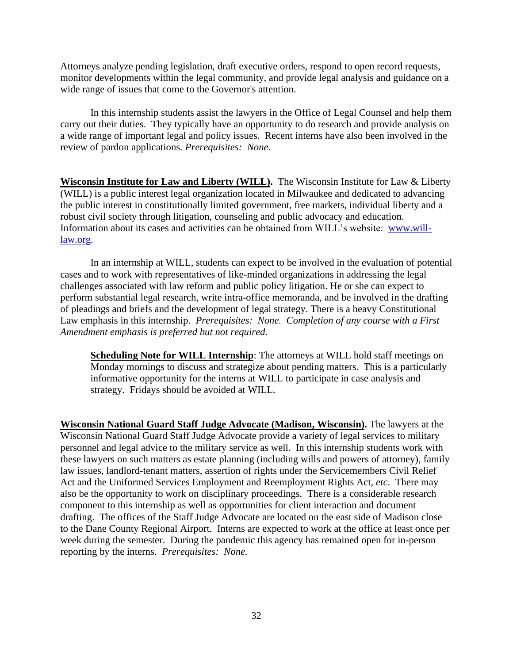Attorneys analyze pending legislation, draft executive orders, respond to open record requests, monitor developments within the legal community, and provide legal analysis and guidance on a wide range of issues that come to the Governor's attention.

In this internship students assist the lawyers in the Office of Legal Counsel and help them carry out their duties. They typically have an opportunity to do research and provide analysis on a wide range of important legal and policy issues. Recent interns have also been involved in the review of pardon applications. *Prerequisites: None.*

**Wisconsin Institute for Law and Liberty (WILL).** The Wisconsin Institute for Law & Liberty (WILL) is a public interest legal organization located in Milwaukee and dedicated to advancing the public interest in constitutionally limited government, free markets, individual liberty and a robust civil society through litigation, counseling and public advocacy and education. Information about its cases and activities can be obtained from WILL's website: [www.will](http://www.will-law.org/)[law.org.](http://www.will-law.org/)

In an internship at WILL, students can expect to be involved in the evaluation of potential cases and to work with representatives of like-minded organizations in addressing the legal challenges associated with law reform and public policy litigation. He or she can expect to perform substantial legal research, write intra-office memoranda, and be involved in the drafting of pleadings and briefs and the development of legal strategy. There is a heavy Constitutional Law emphasis in this internship. *Prerequisites: None. Completion of any course with a First Amendment emphasis is preferred but not required.*

**Scheduling Note for WILL Internship**: The attorneys at WILL hold staff meetings on Monday mornings to discuss and strategize about pending matters. This is a particularly informative opportunity for the interns at WILL to participate in case analysis and strategy. Fridays should be avoided at WILL.

**Wisconsin National Guard Staff Judge Advocate (Madison, Wisconsin).** The lawyers at the Wisconsin National Guard Staff Judge Advocate provide a variety of legal services to military personnel and legal advice to the military service as well. In this internship students work with these lawyers on such matters as estate planning (including wills and powers of attorney), family law issues, landlord-tenant matters, assertion of rights under the Servicemembers Civil Relief Act and the Uniformed Services Employment and Reemployment Rights Act, *etc*. There may also be the opportunity to work on disciplinary proceedings. There is a considerable research component to this internship as well as opportunities for client interaction and document drafting. The offices of the Staff Judge Advocate are located on the east side of Madison close to the Dane County Regional Airport. Interns are expected to work at the office at least once per week during the semester. During the pandemic this agency has remained open for in-person reporting by the interns. *Prerequisites: None.*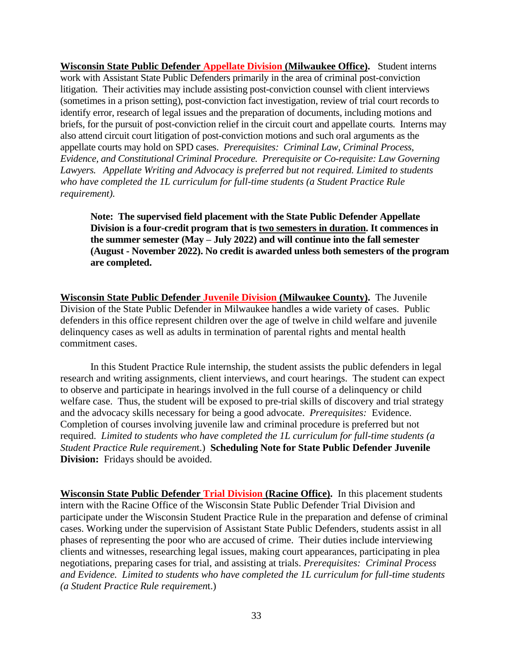**Wisconsin State Public Defender Appellate Division (Milwaukee Office).** Student interns work with Assistant State Public Defenders primarily in the area of criminal post-conviction litigation. Their activities may include assisting post-conviction counsel with client interviews (sometimes in a prison setting), post-conviction fact investigation, review of trial court records to identify error, research of legal issues and the preparation of documents, including motions and briefs, for the pursuit of post-conviction relief in the circuit court and appellate courts*.* Interns may also attend circuit court litigation of post-conviction motions and such oral arguments as the appellate courts may hold on SPD cases. *Prerequisites: Criminal Law, Criminal Process, Evidence, and Constitutional Criminal Procedure. Prerequisite or Co-requisite: Law Governing Lawyers. Appellate Writing and Advocacy is preferred but not required. Limited to students who have completed the 1L curriculum for full-time students (a Student Practice Rule requirement).*

**Note: The supervised field placement with the State Public Defender Appellate Division is a four-credit program that is two semesters in duration. It commences in the summer semester (May – July 2022) and will continue into the fall semester (August - November 2022). No credit is awarded unless both semesters of the program are completed.**

**Wisconsin State Public Defender Juvenile Division (Milwaukee County).** The Juvenile Division of the State Public Defender in Milwaukee handles a wide variety of cases. Public defenders in this office represent children over the age of twelve in child welfare and juvenile delinquency cases as well as adults in termination of parental rights and mental health commitment cases.

In this Student Practice Rule internship, the student assists the public defenders in legal research and writing assignments, client interviews, and court hearings. The student can expect to observe and participate in hearings involved in the full course of a delinquency or child welfare case. Thus, the student will be exposed to pre-trial skills of discovery and trial strategy and the advocacy skills necessary for being a good advocate. *Prerequisites:* Evidence. Completion of courses involving juvenile law and criminal procedure is preferred but not required. *Limited to students who have completed the 1L curriculum for full-time students (a Student Practice Rule requiremen*t.) **Scheduling Note for State Public Defender Juvenile Division:** Fridays should be avoided.

**Wisconsin State Public Defender Trial Division (Racine Office).** In this placement students intern with the Racine Office of the Wisconsin State Public Defender Trial Division and participate under the Wisconsin Student Practice Rule in the preparation and defense of criminal cases. Working under the supervision of Assistant State Public Defenders, students assist in all phases of representing the poor who are accused of crime. Their duties include interviewing clients and witnesses, researching legal issues, making court appearances, participating in plea negotiations, preparing cases for trial, and assisting at trials. *Prerequisites: Criminal Process and Evidence. Limited to students who have completed the 1L curriculum for full-time students (a Student Practice Rule requiremen*t.)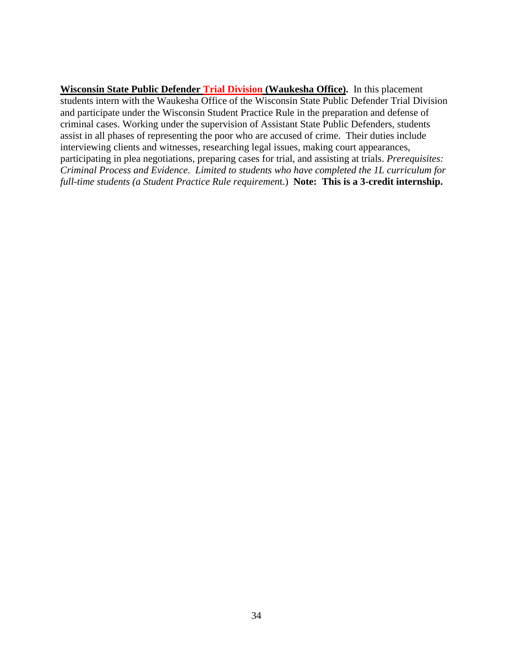**Wisconsin State Public Defender Trial Division (Waukesha Office).** In this placement students intern with the Waukesha Office of the Wisconsin State Public Defender Trial Division and participate under the Wisconsin Student Practice Rule in the preparation and defense of criminal cases. Working under the supervision of Assistant State Public Defenders, students assist in all phases of representing the poor who are accused of crime. Their duties include interviewing clients and witnesses, researching legal issues, making court appearances, participating in plea negotiations, preparing cases for trial, and assisting at trials. *Prerequisites: Criminal Process and Evidence. Limited to students who have completed the 1L curriculum for full-time students (a Student Practice Rule requiremen*t.) **Note: This is a 3-credit internship.**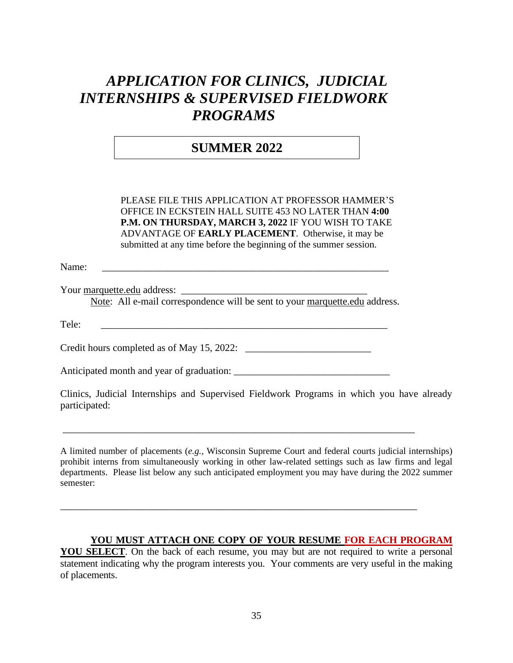# *APPLICATION FOR CLINICS, JUDICIAL INTERNSHIPS & SUPERVISED FIELDWORK PROGRAMS*

## **SUMMER 2022**

PLEASE FILE THIS APPLICATION AT PROFESSOR HAMMER'S OFFICE IN ECKSTEIN HALL SUITE 453 NO LATER THAN **4:00 P.M. ON THURSDAY, MARCH 3, 2022** IF YOU WISH TO TAKE ADVANTAGE OF **EARLY PLACEMENT**. Otherwise, it may be submitted at any time before the beginning of the summer session.

Name: \_\_\_\_\_\_\_\_\_\_\_\_\_\_\_\_\_\_\_\_\_\_\_\_\_\_\_\_\_\_\_\_\_\_\_\_\_\_\_\_\_\_\_\_\_\_\_\_\_\_\_\_\_\_\_\_\_

Your marquette.edu address: \_\_\_\_\_\_\_\_\_\_\_\_\_\_\_\_\_\_\_\_\_\_\_\_\_\_\_\_\_\_\_\_\_\_\_\_\_

Note: All e-mail correspondence will be sent to your marquette.edu address.

Tele: \_\_\_\_\_\_\_\_\_\_\_\_\_\_\_\_\_\_\_\_\_\_\_\_\_\_\_\_\_\_\_\_\_\_\_\_\_\_\_\_\_\_\_\_\_\_\_\_\_\_\_\_\_\_\_\_\_

Credit hours completed as of May 15, 2022: \_\_\_\_\_\_\_\_\_\_\_\_\_\_\_\_\_\_\_\_\_\_\_\_\_

Anticipated month and year of graduation: \_\_\_\_\_\_\_\_\_\_\_\_\_\_\_\_\_\_\_\_\_\_\_\_\_\_\_\_\_\_\_

Clinics, Judicial Internships and Supervised Fieldwork Programs in which you have already participated:

\_\_\_\_\_\_\_\_\_\_\_\_\_\_\_\_\_\_\_\_\_\_\_\_\_\_\_\_\_\_\_\_\_\_\_\_\_\_\_\_\_\_\_\_\_\_\_\_\_\_\_\_\_\_\_\_\_\_\_\_\_\_\_\_\_\_\_\_\_\_

\_\_\_\_\_\_\_\_\_\_\_\_\_\_\_\_\_\_\_\_\_\_\_\_\_\_\_\_\_\_\_\_\_\_\_\_\_\_\_\_\_\_\_\_\_\_\_\_\_\_\_\_\_\_\_\_\_\_\_\_\_\_\_\_\_\_\_\_\_\_\_

A limited number of placements (*e.g.,* Wisconsin Supreme Court and federal courts judicial internships) prohibit interns from simultaneously working in other law-related settings such as law firms and legal departments. Please list below any such anticipated employment you may have during the 2022 summer semester:

#### **YOU MUST ATTACH ONE COPY OF YOUR RESUME FOR EACH PROGRAM**

**YOU SELECT**. On the back of each resume, you may but are not required to write a personal statement indicating why the program interests you. Your comments are very useful in the making of placements.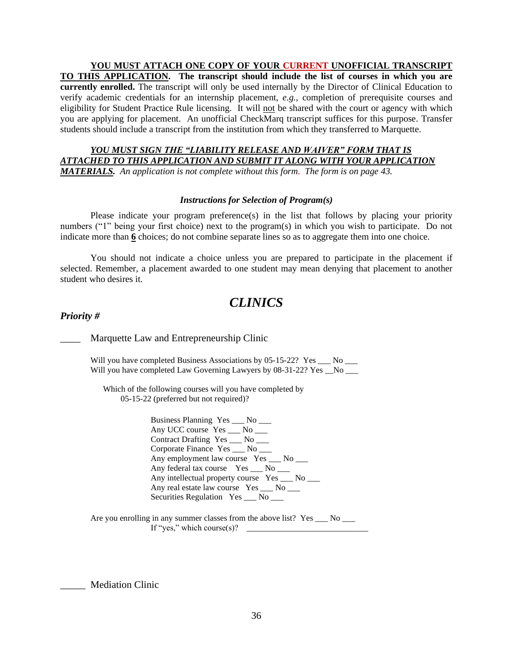**YOU MUST ATTACH ONE COPY OF YOUR CURRENT UNOFFICIAL TRANSCRIPT TO THIS APPLICATION. The transcript should include the list of courses in which you are currently enrolled.** The transcript will only be used internally by the Director of Clinical Education to verify academic credentials for an internship placement, *e.g.,* completion of prerequisite courses and eligibility for Student Practice Rule licensing. It will not be shared with the court or agency with which you are applying for placement. An unofficial CheckMarq transcript suffices for this purpose. Transfer students should include a transcript from the institution from which they transferred to Marquette.

#### *YOU MUST SIGN THE "LIABILITY RELEASE AND WAIVER" FORM THAT IS ATTACHED TO THIS APPLICATION AND SUBMIT IT ALONG WITH YOUR APPLICATION MATERIALS. An application is not complete without this form. The form is on page 43.*

#### *Instructions for Selection of Program(s)*

Please indicate your program preference(s) in the list that follows by placing your priority numbers ("1" being your first choice) next to the program(s) in which you wish to participate. Do not indicate more than **6** choices; do not combine separate lines so as to aggregate them into one choice.

You should not indicate a choice unless you are prepared to participate in the placement if selected. Remember, a placement awarded to one student may mean denying that placement to another student who desires it.

## *CLINICS*

#### *Priority #*

Marquette Law and Entrepreneurship Clinic

Will you have completed Business Associations by 05-15-22? Yes No Will you have completed Law Governing Lawyers by 08-31-22? Yes No

 Which of the following courses will you have completed by 05-15-22 (preferred but not required)?

> Business Planning Yes \_\_\_ No \_\_\_ Any UCC course Yes \_\_\_ No \_\_\_ Contract Drafting Yes \_\_\_ No \_\_\_ Corporate Finance Yes \_\_\_ No \_\_\_ Any employment law course Yes \_\_\_ No \_\_\_ Any federal tax course Yes \_\_\_ No \_\_\_ Any intellectual property course Yes \_\_\_ No \_\_\_ Any real estate law course Yes \_\_\_ No \_\_\_ Securities Regulation Yes \_\_\_ No \_\_\_

Are you enrolling in any summer classes from the above list? Yes \_\_\_ No \_\_\_ If "yes," which course $(s)$ ?

Mediation Clinic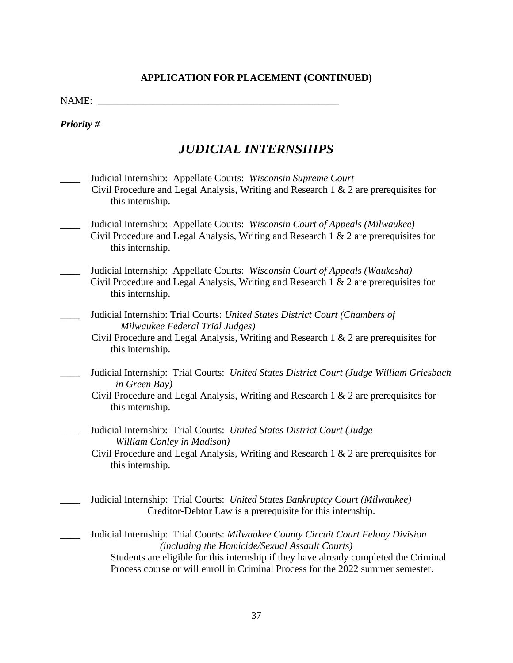NAME:

*Priority #*

## *JUDICIAL INTERNSHIPS*

- \_\_\_\_ Judicial Internship: Appellate Courts: *Wisconsin Supreme Court* Civil Procedure and Legal Analysis, Writing and Research 1 & 2 are prerequisites for this internship.
- \_\_\_\_ Judicial Internship: Appellate Courts: *Wisconsin Court of Appeals (Milwaukee)* Civil Procedure and Legal Analysis, Writing and Research 1 & 2 are prerequisites for this internship.
- \_\_\_\_ Judicial Internship: Appellate Courts: *Wisconsin Court of Appeals (Waukesha)* Civil Procedure and Legal Analysis, Writing and Research 1 & 2 are prerequisites for this internship.
	- \_\_\_\_ Judicial Internship: Trial Courts: *United States District Court (Chambers of Milwaukee Federal Trial Judges)*
		- Civil Procedure and Legal Analysis, Writing and Research 1 & 2 are prerequisites for this internship.
- \_\_\_\_ Judicial Internship: Trial Courts: *United States District Court (Judge William Griesbach in Green Bay)*
	- Civil Procedure and Legal Analysis, Writing and Research 1 & 2 are prerequisites for this internship.
- \_\_\_\_ Judicial Internship: Trial Courts: *United States District Court (Judge William Conley in Madison)*
	- Civil Procedure and Legal Analysis, Writing and Research 1 & 2 are prerequisites for this internship.
- \_\_\_\_ Judicial Internship: Trial Courts: *United States Bankruptcy Court (Milwaukee)* Creditor-Debtor Law is a prerequisite for this internship.
- \_\_\_\_ Judicial Internship: Trial Courts: *Milwaukee County Circuit Court Felony Division (including the Homicide/Sexual Assault Courts)* Students are eligible for this internship if they have already completed the Criminal Process course or will enroll in Criminal Process for the 2022 summer semester.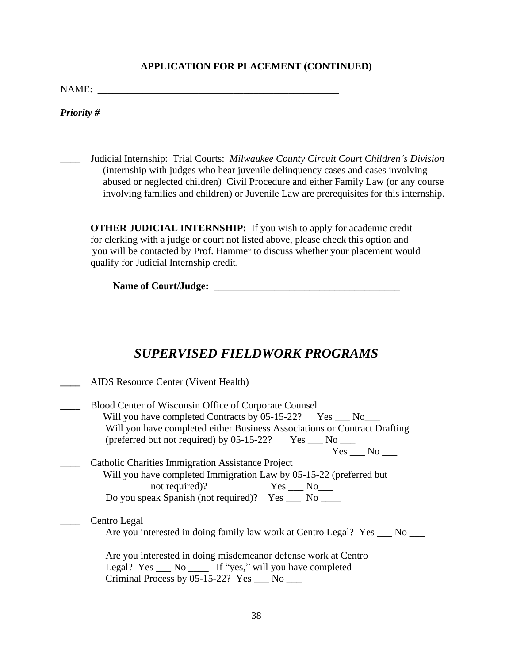NAME: \_\_\_\_\_\_\_\_\_\_\_\_\_\_\_\_\_\_\_\_\_\_\_\_\_\_\_\_\_\_\_\_\_\_\_\_\_\_\_\_\_\_\_\_\_\_\_\_

*Priority #*

\_\_\_\_ Judicial Internship: Trial Courts: *Milwaukee County Circuit Court Children's Division* (internship with judges who hear juvenile delinquency cases and cases involving abused or neglected children) Civil Procedure and either Family Law (or any course involving families and children) or Juvenile Law are prerequisites for this internship.

\_\_\_\_\_ **OTHER JUDICIAL INTERNSHIP:** If you wish to apply for academic credit for clerking with a judge or court not listed above, please check this option and you will be contacted by Prof. Hammer to discuss whether your placement would qualify for Judicial Internship credit.

**Name of Court/Judge: \_\_\_\_\_\_\_\_\_\_\_\_\_\_\_\_\_\_\_\_\_\_\_\_\_\_\_\_\_\_\_\_\_\_\_\_\_**

## *SUPERVISED FIELDWORK PROGRAMS*

| AIDS Resource Center (Vivent Health)                                                                                                                                                                                                                                                        |
|---------------------------------------------------------------------------------------------------------------------------------------------------------------------------------------------------------------------------------------------------------------------------------------------|
| Blood Center of Wisconsin Office of Corporate Counsel<br>Will you have completed Contracts by 05-15-22? Yes ____ No____<br>Will you have completed either Business Associations or Contract Drafting<br>(preferred but not required) by $05-15-22$ ? Yes $\_\_\_\$ No $\_\_\_\_\$<br>Yes No |
| <b>Catholic Charities Immigration Assistance Project</b><br>Will you have completed Immigration Law by 05-15-22 (preferred but<br>not required)? Yes __ No___<br>Do you speak Spanish (not required)? Yes ____ No ____                                                                      |
| Centro Legal<br>Are you interested in doing family law work at Centro Legal? Yes ___ No                                                                                                                                                                                                     |
| Are you interested in doing misdemeanor defense work at Centro<br>Legal? Yes ___ No _____ If "yes," will you have completed<br>Criminal Process by $05-15-22$ ? Yes $\_\_\_\$ No $\_\_\_\$                                                                                                  |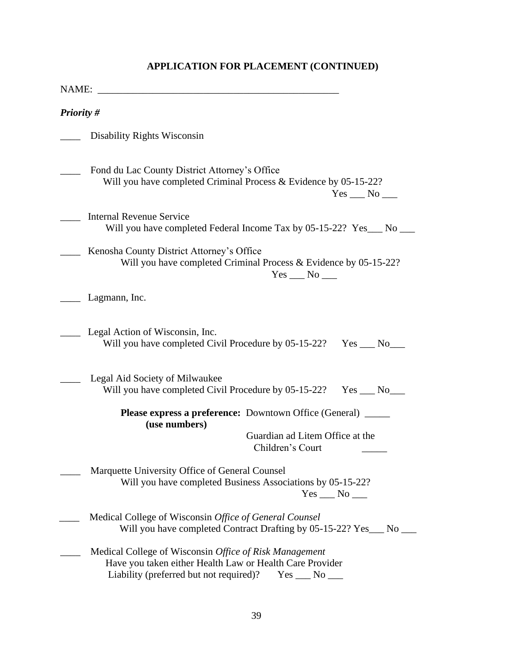| <b>Priority #</b> |                                                                                                                                                                                    |
|-------------------|------------------------------------------------------------------------------------------------------------------------------------------------------------------------------------|
|                   | Disability Rights Wisconsin                                                                                                                                                        |
|                   | Fond du Lac County District Attorney's Office<br>Will you have completed Criminal Process & Evidence by 05-15-22?<br>$Yes \_\_No \_\_$                                             |
|                   | <b>Internal Revenue Service</b><br>Will you have completed Federal Income Tax by 05-15-22? Yes___ No ___                                                                           |
|                   | Kenosha County District Attorney's Office<br>Will you have completed Criminal Process & Evidence by 05-15-22?<br>$Yes \_\_No \_\_$                                                 |
|                   | Lagmann, Inc.                                                                                                                                                                      |
|                   | Legal Action of Wisconsin, Inc.<br>Will you have completed Civil Procedure by 05-15-22?<br>$Yes$ No                                                                                |
|                   | Legal Aid Society of Milwaukee<br>Will you have completed Civil Procedure by 05-15-22?<br>$Yes \_\_No \_\_$                                                                        |
|                   | <b>Please express a preference:</b> Downtown Office (General) ______<br>(use numbers)                                                                                              |
|                   | Guardian ad Litem Office at the<br>Children's Court                                                                                                                                |
|                   | Marquette University Office of General Counsel<br>Will you have completed Business Associations by 05-15-22?<br>$Yes \_\_No \_\_$                                                  |
|                   | Medical College of Wisconsin Office of General Counsel<br>Will you have completed Contract Drafting by 05-15-22? Yes___ No ___                                                     |
|                   | Medical College of Wisconsin Office of Risk Management<br>Have you taken either Health Law or Health Care Provider<br>Liability (preferred but not required)?<br>$Yes \_\_No \_\_$ |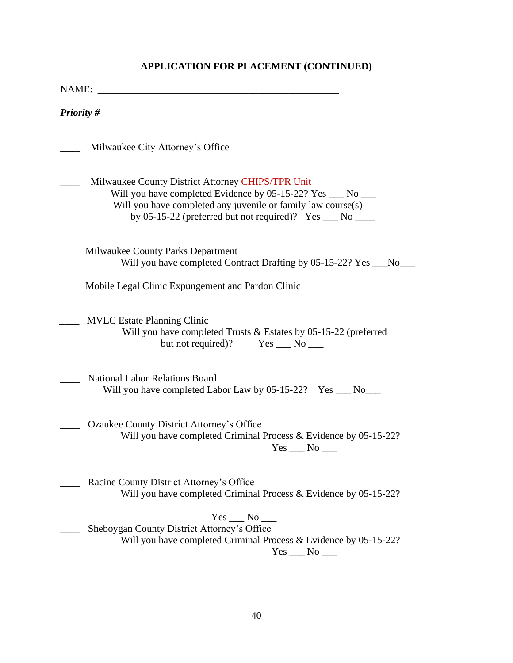| NAME:             | <u> 1989 - John Stone, Amerikaansk politiker (</u>                                                                                                                                                                                          |
|-------------------|---------------------------------------------------------------------------------------------------------------------------------------------------------------------------------------------------------------------------------------------|
| <b>Priority #</b> |                                                                                                                                                                                                                                             |
|                   | Milwaukee City Attorney's Office                                                                                                                                                                                                            |
|                   | Milwaukee County District Attorney CHIPS/TPR Unit<br>Will you have completed Evidence by 05-15-22? Yes ___ No ___<br>Will you have completed any juvenile or family law course(s)<br>by 05-15-22 (preferred but not required)? Yes __ No __ |
|                   | Milwaukee County Parks Department<br>Will you have completed Contract Drafting by 05-15-22? Yes ___No_                                                                                                                                      |
|                   | Mobile Legal Clinic Expungement and Pardon Clinic                                                                                                                                                                                           |
|                   | <b>MVLC</b> Estate Planning Clinic<br>Will you have completed Trusts & Estates by 05-15-22 (preferred<br>but not required)? $Yes \_\_No \_\_$                                                                                               |
|                   | <b>National Labor Relations Board</b><br>Will you have completed Labor Law by 05-15-22? Yes __ No__                                                                                                                                         |
|                   | Ozaukee County District Attorney's Office<br>Will you have completed Criminal Process & Evidence by 05-15-22?<br>$Yes$ No $\_\_$                                                                                                            |
|                   | Racine County District Attorney's Office<br>Will you have completed Criminal Process & Evidence by 05-15-22?                                                                                                                                |
|                   | Yes No<br>Sheboygan County District Attorney's Office<br>Will you have completed Criminal Process & Evidence by 05-15-22?<br>$Yes \_\_No \_\_$                                                                                              |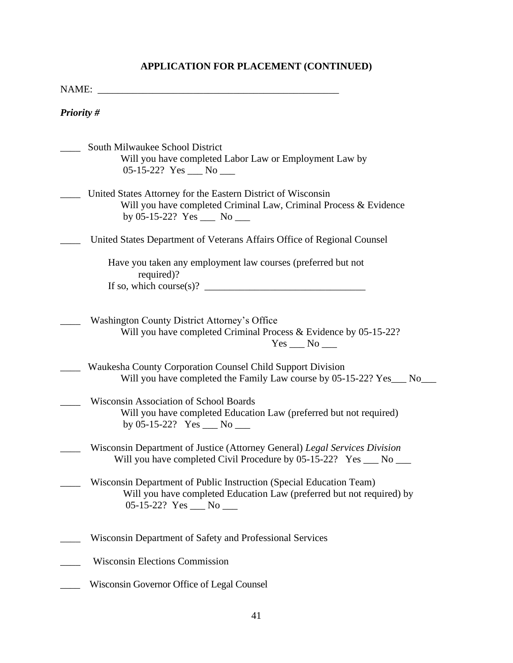| NAME:                                                                                                                                                                                |  |  |
|--------------------------------------------------------------------------------------------------------------------------------------------------------------------------------------|--|--|
| <b>Priority #</b>                                                                                                                                                                    |  |  |
| South Milwaukee School District<br>Will you have completed Labor Law or Employment Law by<br>05-15-22? Yes $\rule{1em}{0.15}$ No $\rule{1.5mm}{0.15mm}$                              |  |  |
| United States Attorney for the Eastern District of Wisconsin<br>Will you have completed Criminal Law, Criminal Process & Evidence<br>by 05-15-22? Yes $\_\_\_\$ No $\_\_\_\_\$       |  |  |
| United States Department of Veterans Affairs Office of Regional Counsel                                                                                                              |  |  |
| Have you taken any employment law courses (preferred but not<br>required)?                                                                                                           |  |  |
| Washington County District Attorney's Office<br>Will you have completed Criminal Process & Evidence by 05-15-22?<br>$Yes \_\_No \_\_$                                                |  |  |
| Waukesha County Corporation Counsel Child Support Division<br>Will you have completed the Family Law course by 05-15-22? Yes___ No___                                                |  |  |
| Wisconsin Association of School Boards<br>Will you have completed Education Law (preferred but not required)<br>by 05-15-22? Yes $\_\_$ No $\_\_$                                    |  |  |
| Wisconsin Department of Justice (Attorney General) Legal Services Division<br>Will you have completed Civil Procedure by 05-15-22? Yes ____ No ____                                  |  |  |
| Wisconsin Department of Public Instruction (Special Education Team)<br>Will you have completed Education Law (preferred but not required) by<br>05-15-22? Yes $\_\_\_\$ No $\_\_\_\$ |  |  |
| Wisconsin Department of Safety and Professional Services                                                                                                                             |  |  |
| <b>Wisconsin Elections Commission</b>                                                                                                                                                |  |  |
| Wisconsin Governor Office of Legal Counsel                                                                                                                                           |  |  |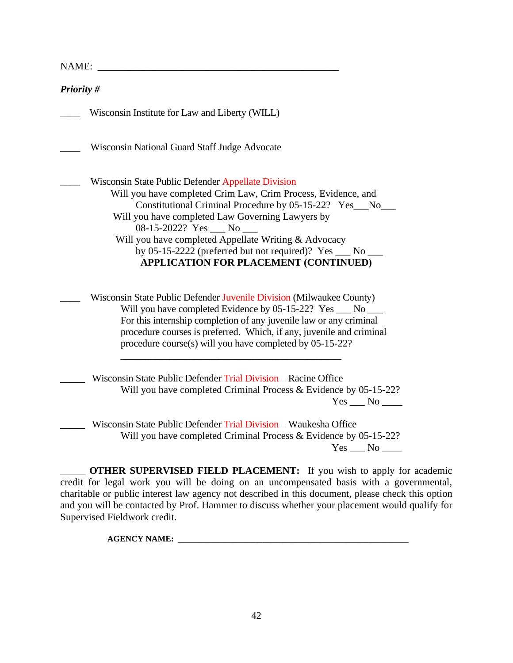NAME:

| Priority #                                                                                                                                                                                                                                                                                                                                                                                                                                                                      |
|---------------------------------------------------------------------------------------------------------------------------------------------------------------------------------------------------------------------------------------------------------------------------------------------------------------------------------------------------------------------------------------------------------------------------------------------------------------------------------|
| Wisconsin Institute for Law and Liberty (WILL)                                                                                                                                                                                                                                                                                                                                                                                                                                  |
| Wisconsin National Guard Staff Judge Advocate                                                                                                                                                                                                                                                                                                                                                                                                                                   |
| Wisconsin State Public Defender Appellate Division<br>Will you have completed Crim Law, Crim Process, Evidence, and<br>Constitutional Criminal Procedure by 05-15-22? Yes__No_<br>Will you have completed Law Governing Lawyers by<br>$08-15-2022?$ Yes $\rule{1em}{0.15mm}$ No $\rule{1.5mm}{0.15mm}$<br>Will you have completed Appellate Writing & Advocacy<br>by 05-15-2222 (preferred but not required)? $Yes \_\_No \_\_$<br><b>APPLICATION FOR PLACEMENT (CONTINUED)</b> |
| Wisconsin State Public Defender Juvenile Division (Milwaukee County)<br>Will you have completed Evidence by 05-15-22? Yes __ No __<br>For this internship completion of any juvenile law or any criminal<br>procedure courses is preferred. Which, if any, juvenile and criminal<br>procedure course(s) will you have completed by 05-15-22?                                                                                                                                    |
| Wisconsin State Public Defender Trial Division - Racine Office<br>Will you have completed Criminal Process & Evidence by 05-15-22?<br>$Yes \_\_No \_\_$                                                                                                                                                                                                                                                                                                                         |
| Wisconsin State Dublic Defender Trial Division Waukeebe Office                                                                                                                                                                                                                                                                                                                                                                                                                  |

\_\_\_\_\_ Wisconsin State Public Defender Trial Division – Waukesha Office Will you have completed Criminal Process & Evidence by 05-15-22? Yes No

\_\_\_\_\_ **OTHER SUPERVISED FIELD PLACEMENT:** If you wish to apply for academic credit for legal work you will be doing on an uncompensated basis with a governmental, charitable or public interest law agency not described in this document, please check this option and you will be contacted by Prof. Hammer to discuss whether your placement would qualify for Supervised Fieldwork credit.

**AGENCY NAME: \_\_\_\_\_\_\_\_\_\_\_\_\_\_\_\_\_\_\_\_\_\_\_\_\_\_\_\_\_\_\_\_\_\_\_\_\_\_\_\_\_\_\_\_\_\_\_\_\_\_\_\_\_\_\_**